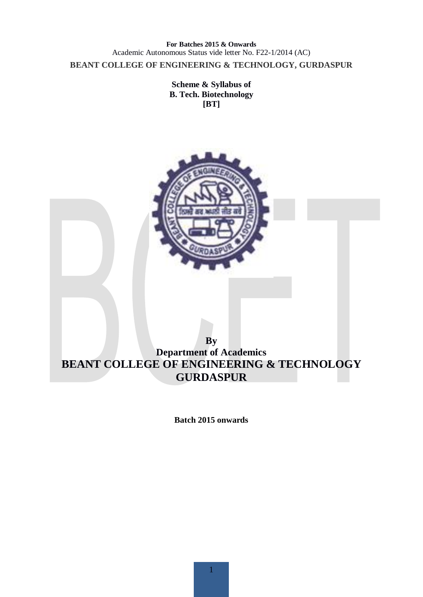**For Batches 2015 & Onwards**  Academic Autonomous Status vide letter No. F22-1/2014 (AC) **BEANT COLLEGE OF ENGINEERING & TECHNOLOGY, GURDASPUR** 

> **Scheme & Syllabus of B. Tech. Biotechnology [BT]**



**Batch 2015 onwards**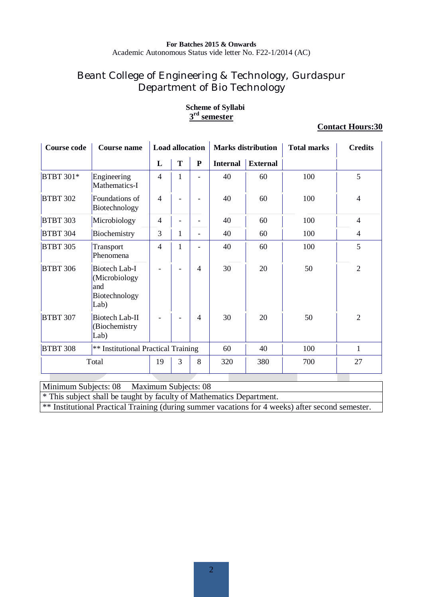# Beant College of Engineering & Technology, Gurdaspur Department of Bio Technology

| <b>Course code</b> | <b>Course name</b>                                             | <b>Load allocation</b> |                          |                              |                 | <b>Marks distribution</b> | <b>Total marks</b> | <b>Credits</b> |
|--------------------|----------------------------------------------------------------|------------------------|--------------------------|------------------------------|-----------------|---------------------------|--------------------|----------------|
|                    |                                                                | L                      | T                        | ${\bf P}$                    | <b>Internal</b> | <b>External</b>           |                    |                |
| <b>BTBT 301*</b>   | Engineering<br>Mathematics-I                                   | $\overline{4}$         | $\mathbf{1}$             |                              | 40              | 60                        | 100                | 5              |
| <b>BTBT 302</b>    | Foundations of<br>Biotechnology                                | $\overline{4}$         |                          |                              | 40              | 60                        | 100                | 4              |
| <b>BTBT 303</b>    | Microbiology                                                   | $\overline{4}$         | $\overline{\phantom{a}}$ |                              | 40              | 60                        | 100                | 4              |
| <b>BTBT 304</b>    | Biochemistry                                                   | 3                      | 1                        | $\overline{\phantom{0}}$     | 40              | 60                        | 100                | 4              |
| <b>BTBT 305</b>    | Transport<br>Phenomena                                         | $\overline{4}$         | 1                        | $\qquad \qquad \blacksquare$ | 40              | 60                        | 100                | 5              |
| <b>BTBT 306</b>    | Biotech Lab-I<br>(Microbiology<br>and<br>Biotechnology<br>Lab) |                        | $\overline{\phantom{a}}$ | $\overline{4}$               | 30              | 20                        | 50                 | $\overline{2}$ |
| <b>BTBT 307</b>    | Biotech Lab-II<br>(Biochemistry<br>Lab)                        |                        |                          | $\overline{4}$               | 30              | 20                        | 50                 | $\overline{2}$ |
| <b>BTBT 308</b>    | ** Institutional Practical Training                            |                        |                          |                              | 60              | 40                        | 100                | 1              |
|                    | Total                                                          | 19                     | 3                        | 8                            | 320             | 380                       | 700                | 27             |

#### **Scheme of Syllabi 3 rd semester**

#### **Contact Hours:30**

Minimum Subjects: 08 Maximum Subjects: 08

\* This subject shall be taught by faculty of Mathematics Department.

\*\* Institutional Practical Training (during summer vacations for 4 weeks) after second semester.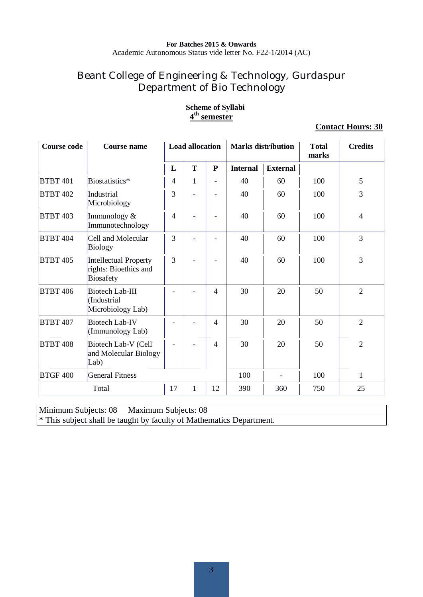# Beant College of Engineering & Technology, Gurdaspur Department of Bio Technology

| <b>Course code</b> | <b>Course name</b>                                                        |                | <b>Load allocation</b> |                          |                 | <b>Marks distribution</b> | <b>Total</b><br>marks | <b>Credits</b> |
|--------------------|---------------------------------------------------------------------------|----------------|------------------------|--------------------------|-----------------|---------------------------|-----------------------|----------------|
|                    |                                                                           | L              | T                      | ${\bf P}$                | <b>Internal</b> | <b>External</b>           |                       |                |
| <b>BTBT 401</b>    | Biostatistics*                                                            | 4              | 1                      | $\overline{\phantom{0}}$ | 40              | 60                        | 100                   | 5              |
| <b>BTBT 402</b>    | Industrial<br>Microbiology                                                | 3              |                        |                          | 40              | 60                        | 100                   | 3              |
| <b>BTBT 403</b>    | Immunology &<br>Immunotechnology                                          | $\overline{4}$ |                        |                          | 40              | 60                        | 100                   | $\overline{4}$ |
| <b>BTBT 404</b>    | Cell and Molecular<br><b>Biology</b>                                      | 3              |                        |                          | 40              | 60                        | 100                   | $\overline{3}$ |
| <b>BTBT 405</b>    | <b>Intellectual Property</b><br>rights: Bioethics and<br><b>Biosafety</b> | $\overline{3}$ |                        |                          | 40              | 60                        | 100                   | $\overline{3}$ |
| <b>BTBT 406</b>    | <b>Biotech Lab-III</b><br>(Industrial<br>Microbiology Lab)                |                |                        | 4                        | 30              | 20                        | 50                    | $\overline{2}$ |
| <b>BTBT 407</b>    | <b>Biotech Lab-IV</b><br>(Immunology Lab)                                 |                |                        | 4                        | 30              | 20                        | 50                    | $\overline{2}$ |
| <b>BTBT 408</b>    | Biotech Lab-V (Cell<br>and Molecular Biology<br>Lab)                      |                |                        | $\overline{4}$           | 30              | 20                        | 50                    | $\overline{2}$ |
| <b>BTGF 400</b>    | <b>General Fitness</b>                                                    |                |                        |                          | 100             |                           | 100                   | $\mathbf{1}$   |
|                    | Total                                                                     | 17             | $\mathbf{1}$           | 12                       | 390             | 360                       | 750                   | 25             |

#### **Scheme of Syllabi 4 th semester**

#### **Contact Hours: 30**

Minimum Subjects: 08 Maximum Subjects: 08

\* This subject shall be taught by faculty of Mathematics Department.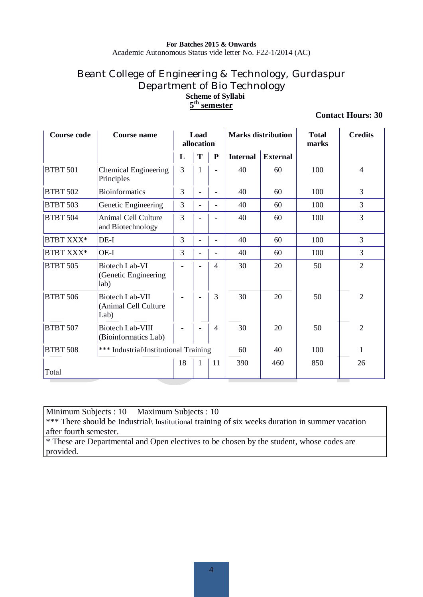# Beant College of Engineering & Technology, Gurdaspur Department of Bio Technology **Scheme of Syllabi 5 th semester**

#### **Contact Hours: 30**

| <b>Course code</b> | Course name                                            | Load<br>allocation |                          |                          | <b>Marks distribution</b> | <b>Total</b><br>marks | <b>Credits</b> |                |
|--------------------|--------------------------------------------------------|--------------------|--------------------------|--------------------------|---------------------------|-----------------------|----------------|----------------|
|                    |                                                        | L                  | T                        | P                        | <b>Internal</b>           | <b>External</b>       |                |                |
| <b>BTBT 501</b>    | Chemical Engineering<br>Principles                     | 3                  | $\mathbf{1}$             | $\overline{a}$           | 40                        | 60                    | 100            | $\overline{4}$ |
| <b>BTBT 502</b>    | <b>Bioinformatics</b>                                  | 3                  | $\blacksquare$           | ۳                        | 40                        | 60                    | 100            | 3              |
| <b>BTBT 503</b>    | Genetic Engineering                                    | 3                  | $\frac{1}{2}$            | $\overline{\phantom{0}}$ | 40                        | 60                    | 100            | 3              |
| <b>BTBT 504</b>    | <b>Animal Cell Culture</b><br>and Biotechnology        | 3                  | $\blacksquare$           |                          | 40                        | 60                    | 100            | 3              |
| BTBT XXX*          | DE-I                                                   | 3                  | $\frac{1}{2}$            | $\overline{a}$           | 40                        | 60                    | 100            | 3              |
| <b>BTBT XXX*</b>   | $OE-I$                                                 | 3                  | $\overline{\phantom{0}}$ | $\overline{\phantom{0}}$ | 40                        | 60                    | 100            | 3              |
| <b>BTBT 505</b>    | Biotech Lab-VI<br>(Genetic Engineering<br>lab)         |                    | $\overline{\phantom{0}}$ | $\overline{\mathcal{A}}$ | 30                        | 20                    | 50             | $\overline{2}$ |
| <b>BTBT 506</b>    | <b>Biotech Lab-VII</b><br>(Animal Cell Culture<br>Lab) |                    | $\overline{\phantom{a}}$ | 3                        | 30                        | 20                    | 50             | $\overline{2}$ |
| <b>BTBT 507</b>    | <b>Biotech Lab-VIII</b><br>(Bioinformatics Lab)        |                    | $\blacksquare$           | $\overline{4}$           | 30                        | 20                    | 50             | $\overline{2}$ |
| <b>BTBT 508</b>    | *** Industrial\Institutional Training                  |                    |                          |                          | 60                        | 40                    | 100            | 1              |
| Total              |                                                        | 18                 | 1                        | 11                       | 390                       | 460                   | 850            | 26             |

Minimum Subjects : 10 Maximum Subjects : 10

\*\*\* There should be Industrial\ Institutional training of six weeks duration in summer vacation after fourth semester.

\* These are Departmental and Open electives to be chosen by the student, whose codes are provided.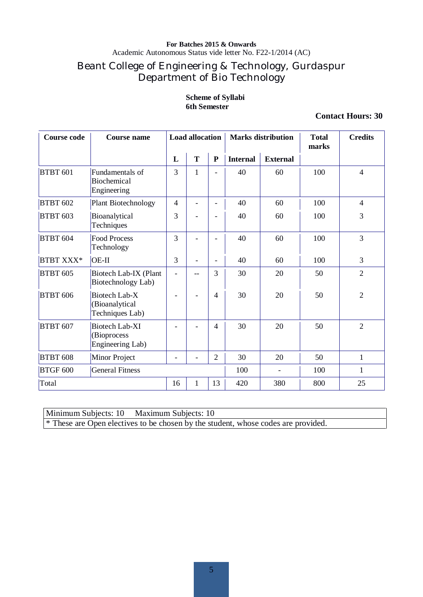Academic Autonomous Status vide letter No. F22-1/2014 (AC)

# Beant College of Engineering & Technology, Gurdaspur Department of Bio Technology

#### **Scheme of Syllabi 6th Semester**

#### **Contact Hours: 30**

| <b>Course code</b> | <b>Course name</b>                                       |                | <b>Load allocation</b> |                          | <b>Marks distribution</b> |                 | <b>Total</b><br>marks | <b>Credits</b> |
|--------------------|----------------------------------------------------------|----------------|------------------------|--------------------------|---------------------------|-----------------|-----------------------|----------------|
|                    |                                                          | L              | T                      | ${\bf P}$                | <b>Internal</b>           | <b>External</b> |                       |                |
| <b>BTBT 601</b>    | Fundamentals of<br>Biochemical<br>Engineering            | 3              | $\mathbf{1}$           |                          | 40                        | 60              | 100                   | $\overline{4}$ |
| <b>BTBT 602</b>    | <b>Plant Biotechnology</b>                               | $\overline{4}$ | ۳                      | $\overline{\phantom{0}}$ | 40                        | 60              | 100                   | $\overline{4}$ |
| <b>BTBT 603</b>    | Bioanalytical<br>Techniques                              | 3              |                        | $\overline{\phantom{a}}$ | 40                        | 60              | 100                   | 3              |
| <b>BTBT 604</b>    | <b>Food Process</b><br>Technology                        | 3              |                        |                          | 40                        | 60              | 100                   | $\overline{3}$ |
| <b>BTBT XXX*</b>   | $OE-II$                                                  | 3              |                        | $\overline{\phantom{a}}$ | 40                        | 60              | 100                   | $\overline{3}$ |
| <b>BTBT 605</b>    | Biotech Lab-IX (Plant<br>Biotechnology Lab)              |                | --                     | 3                        | 30                        | 20              | 50                    | $\overline{2}$ |
| <b>BTBT 606</b>    | Biotech Lab-X<br>(Bioanalytical<br>Techniques Lab)       |                |                        | 4                        | 30                        | 20              | 50                    | $\overline{2}$ |
| <b>BTBT 607</b>    | <b>Biotech Lab-XI</b><br>(Bioprocess<br>Engineering Lab) |                |                        | 4                        | 30                        | 20              | 50                    | $\overline{2}$ |
| <b>BTBT 608</b>    | Minor Project                                            |                |                        | $\mathfrak{2}$           | 30                        | 20              | 50                    | 1              |
| <b>BTGF 600</b>    | <b>General Fitness</b>                                   |                |                        |                          | 100                       |                 | 100                   | 1              |
| Total              |                                                          | 16             | $\mathbf{1}$           | 13                       | 420                       | 380             | 800                   | 25             |

Minimum Subjects: 10 Maximum Subjects: 10

\* These are Open electives to be chosen by the student, whose codes are provided.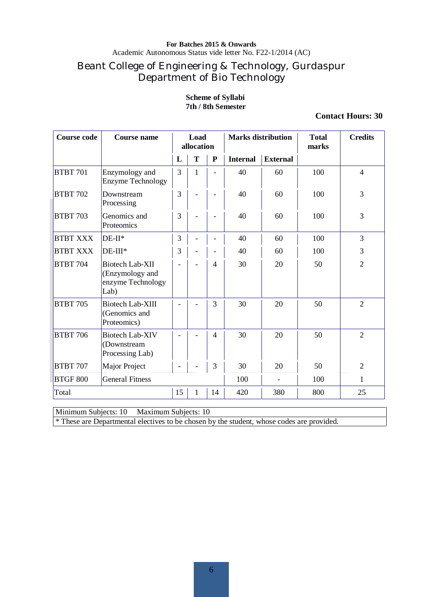Academic Autonomous Status vide letter No. F22-1/2014 (AC)

# Beant College of Engineering & Technology, Gurdaspur Department of Bio Technology

#### **Scheme of Syllabi 7th / 8th Semester**

#### **Contact Hours: 30**

| <b>Course code</b> | <b>Course name</b>                                                     |    | Load<br>allocation |                |                 | <b>Marks distribution</b> | <b>Total</b><br>marks | <b>Credits</b> |
|--------------------|------------------------------------------------------------------------|----|--------------------|----------------|-----------------|---------------------------|-----------------------|----------------|
|                    |                                                                        | L  | T                  | ${\bf P}$      | <b>Internal</b> | <b>External</b>           |                       |                |
| <b>BTBT 701</b>    | Enzymology and<br><b>Enzyme Technology</b>                             | 3  | 1                  |                | 40              | 60                        | 100                   | $\overline{4}$ |
| <b>BTBT 702</b>    | Downstream<br>Processing                                               | 3  |                    |                | 40              | 60                        | 100                   | $\overline{3}$ |
| <b>BTBT 703</b>    | Genomics and<br>Proteomics                                             | 3  |                    | ۰              | 40              | 60                        | 100                   | 3              |
| <b>BTBT XXX</b>    | $DE-II*$                                                               | 3  |                    |                | 40              | 60                        | 100                   | $\overline{3}$ |
| <b>BTBT XXX</b>    | DE-III*                                                                | 3  | $\overline{a}$     | ۰              | 40              | 60                        | 100                   | 3              |
| <b>BTBT 704</b>    | <b>Biotech Lab-XII</b><br>(Enzymology and<br>enzyme Technology<br>Lab) |    | L,                 | $\overline{4}$ | 30              | 20                        | 50                    | $\overline{2}$ |
| <b>BTBT 705</b>    | <b>Biotech Lab-XIII</b><br>(Genomics and<br>Proteomics)                |    |                    | 3              | 30              | 20                        | 50                    | $\overline{2}$ |
| <b>BTBT 706</b>    | <b>Biotech Lab-XIV</b><br>(Downstream<br>Processing Lab)               |    |                    | $\overline{4}$ | 30              | 20                        | 50                    | $\overline{2}$ |
| <b>BTBT 707</b>    | Major Project                                                          |    |                    | 3              | 30              | 20                        | 50                    | $\overline{2}$ |
| <b>BTGF 800</b>    | <b>General Fitness</b>                                                 |    |                    |                | 100             | $\overline{\phantom{a}}$  | 100                   | 1              |
| Total              |                                                                        | 15 | 1                  | 14             | 420             | 380                       | 800                   | 25             |

Minimum Subjects: 10 Maximum Subjects: 10

\* These are Departmental electives to be chosen by the student, whose codes are provided.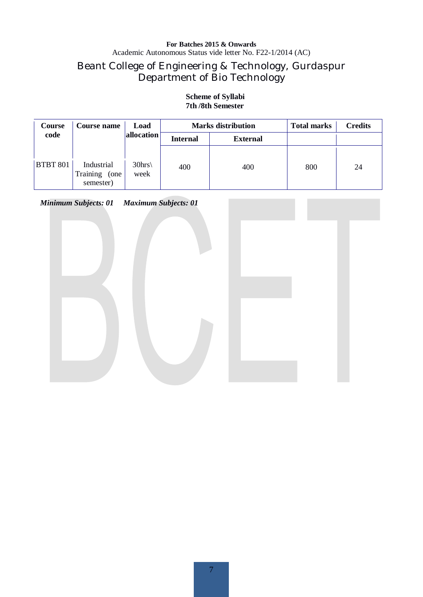# Beant College of Engineering & Technology, Gurdaspur Department of Bio Technology

#### **Course code Course name Load allocation Marks distribution Total marks Credits Internal External** BTBT 801 Industrial 30hrs  $\begin{array}{|c|c|c|c|c|c|c|c|} \hline \end{array}$  400  $\begin{array}{|c|c|c|c|c|c|} \hline \end{array}$  400  $\begin{array}{|c|c|c|c|c|} \hline \end{array}$  24 Training (one semester)  $30$ hrs week

#### **Scheme of Syllabi 7th /8th Semester**

*Minimum Subjects: 01 Maximum Subjects: 01* 

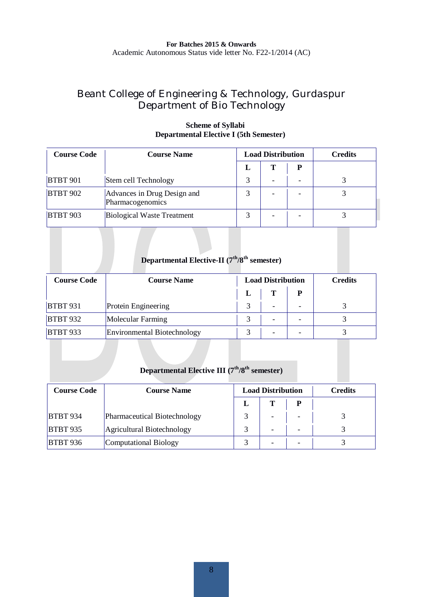# Beant College of Engineering & Technology, Gurdaspur Department of Bio Technology

| <b>Course Code</b> | <b>Course Name</b>                              | <b>Load Distribution</b> |  |   | <b>Credits</b> |
|--------------------|-------------------------------------------------|--------------------------|--|---|----------------|
|                    |                                                 | L                        |  | D |                |
| <b>BTBT 901</b>    | Stem cell Technology                            |                          |  |   |                |
| <b>BTBT 902</b>    | Advances in Drug Design and<br>Pharmacogenomics |                          |  |   |                |
| <b>BTBT 903</b>    | <b>Biological Waste Treatment</b>               |                          |  |   |                |

#### **Scheme of Syllabi Departmental Elective I (5th Semester)**

# **Departmental Elective-II (7th/8th semester)**

| <b>Course Code</b> | <b>Course Name</b>                 | <b>Load Distribution</b> |   | <b>Credits</b>           |  |
|--------------------|------------------------------------|--------------------------|---|--------------------------|--|
|                    |                                    |                          | т | P                        |  |
| <b>BTBT 931</b>    | Protein Engineering                |                          | ۰ | $\overline{\phantom{a}}$ |  |
| <b>BTBT 932</b>    | Molecular Farming                  |                          |   | ۰                        |  |
| <b>BTBT 933</b>    | <b>Environmental Biotechnology</b> |                          |   |                          |  |

# **Departmental Elective III (7th/8th semester)**

| <b>Course Code</b> | <b>Course Name</b>           | <b>Load Distribution</b> |   | <b>Credits</b> |  |
|--------------------|------------------------------|--------------------------|---|----------------|--|
|                    |                              |                          |   |                |  |
| <b>BTBT 934</b>    | Pharmaceutical Biotechnology |                          | - |                |  |
| <b>BTBT 935</b>    | Agricultural Biotechnology   |                          | - | -              |  |
| <b>BTBT 936</b>    | Computational Biology        |                          |   |                |  |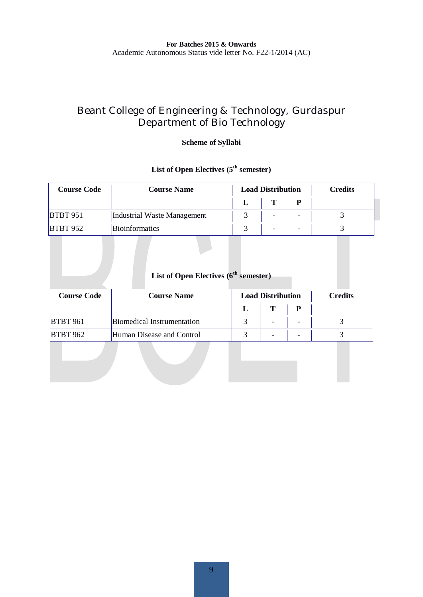# Beant College of Engineering & Technology, Gurdaspur Department of Bio Technology

#### **Scheme of Syllabi**

# List of Open Electives ( $5<sup>th</sup>$  semester)

| <b>Course Code</b> | <b>Course Name</b>          | <b>Load Distribution</b> |   | <b>Credits</b> |  |
|--------------------|-----------------------------|--------------------------|---|----------------|--|
|                    |                             |                          | m | p              |  |
| <b>BTBT 951</b>    | Industrial Waste Management |                          | - | ۰              |  |
| <b>BTBT 952</b>    | <b>Bioinformatics</b>       |                          |   |                |  |

# List of Open Electives (6<sup>th</sup> semester)

| <b>Course Code</b> | <b>Course Name</b>         | <b>Load Distribution</b> |                          | Credits                  |  |
|--------------------|----------------------------|--------------------------|--------------------------|--------------------------|--|
|                    |                            |                          | m                        |                          |  |
| <b>BTBT 961</b>    | Biomedical Instrumentation |                          | $\overline{\phantom{a}}$ | $\overline{\phantom{a}}$ |  |
| <b>BTBT 962</b>    | Human Disease and Control  |                          | $\overline{\phantom{0}}$ | -                        |  |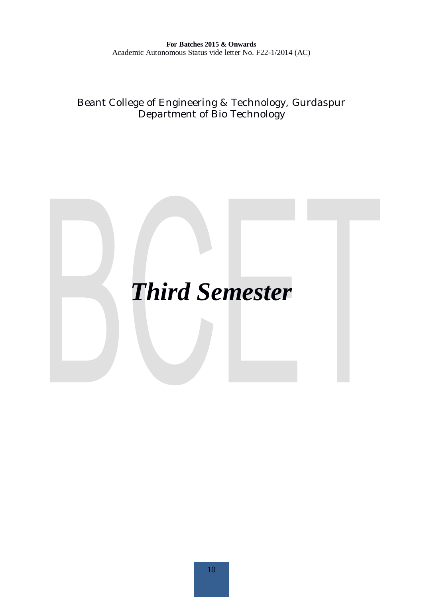Beant College of Engineering & Technology, Gurdaspur Department of Bio Technology

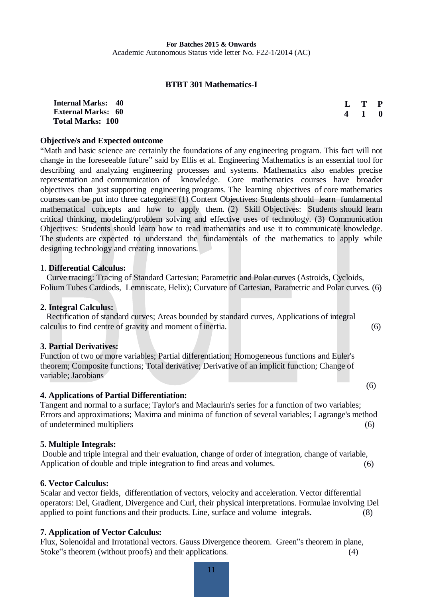#### **BTBT 301 Mathematics-I**

| <b>Internal Marks: 40</b> | L T P               |  |
|---------------------------|---------------------|--|
| <b>External Marks: 60</b> | $4 \quad 1 \quad 0$ |  |
| <b>Total Marks: 100</b>   |                     |  |

#### **Objective/s and Expected outcome**

"Math and basic science are certainly the foundations of any engineering program. This fact will not change in the foreseeable future" said by Ellis et al. Engineering Mathematics is an essential tool for describing and analyzing engineering processes and systems. Mathematics also enables precise representation and communication of knowledge. Core mathematics courses have broader objectives than just supporting engineering programs. The learning objectives of core mathematics courses can be put into three categories: (1) Content Objectives: Students should learn fundamental mathematical concepts and how to apply them. (2) Skill Objectives: Students should learn critical thinking, modeling/problem solving and effective uses of technology. (3) Communication Objectives: Students should learn how to read mathematics and use it to communicate knowledge. The students are expected to understand the fundamentals of the mathematics to apply while designing technology and creating innovations.

#### 1. **Differential Calculus:**

 Curve tracing: Tracing of Standard Cartesian; Parametric and Polar curves (Astroids, Cycloids, Folium Tubes Cardiods, Lemniscate, Helix); Curvature of Cartesian, Parametric and Polar curves. (6)

#### **2. Integral Calculus:**

 Rectification of standard curves; Areas bounded by standard curves, Applications of integral calculus to find centre of gravity and moment of inertia. (6)

#### **3. Partial Derivatives:**

Function of two or more variables; Partial differentiation; Homogeneous functions and Euler's theorem; Composite functions; Total derivative; Derivative of an implicit function; Change of variable; Jacobians

#### **4. Applications of Partial Differentiation:**

Tangent and normal to a surface; Taylor's and Maclaurin's series for a function of two variables; Errors and approximations; Maxima and minima of function of several variables; Lagrange's method of undetermined multipliers (6)

 $\overline{\hspace{1cm}}$  (6)

#### **5. Multiple Integrals:**

 Double and triple integral and their evaluation, change of order of integration, change of variable, Application of double and triple integration to find areas and volumes. (6)

#### **6. Vector Calculus:**

Scalar and vector fields, differentiation of vectors, velocity and acceleration. Vector differential operators: Del, Gradient, Divergence and Curl, their physical interpretations. Formulae involving Del applied to point functions and their products. Line, surface and volume integrals. (8)

#### **7. Application of Vector Calculus:**

Flux, Solenoidal and Irrotational vectors. Gauss Divergence theorem. Green"s theorem in plane, Stoke"s theorem (without proofs) and their applications. (4)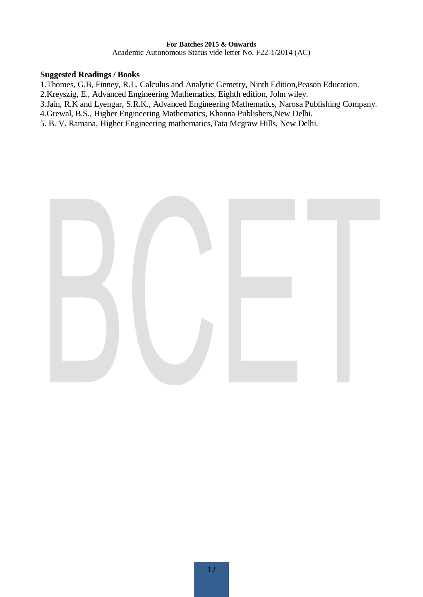Academic Autonomous Status vide letter No. F22-1/2014 (AC)

#### **Suggested Readings / Books**

1.Thomes, G.B, Finney, R.L. Calculus and Analytic Gemetry, Ninth Edition,Peason Education.

2.Kreyszig, E., Advanced Engineering Mathematics, Eighth edition, John wiley.

3.Jain, R.K and Lyengar, S.R.K., Advanced Engineering Mathematics, Narosa Publishing Company.

4.Grewal, B.S., Higher Engineering Mathematics, Khanna Publishers,New Delhi.

5. B. V. Ramana, Higher Engineering mathematics,Tata Mcgraw Hills, New Delhi.

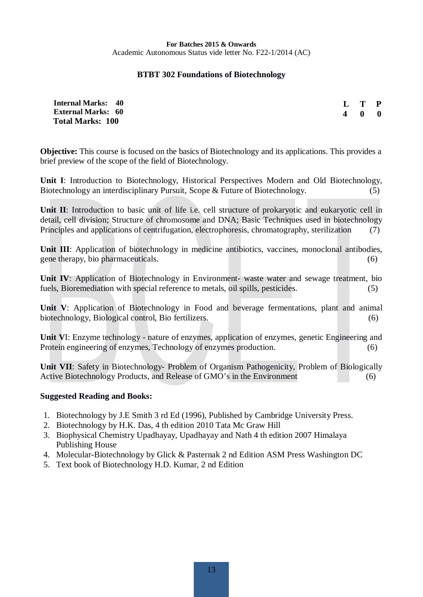#### **BTBT 302 Foundations of Biotechnology**

| <b>Internal Marks: 40</b> | $L$ T P           |  |
|---------------------------|-------------------|--|
| <b>External Marks: 60</b> | $4\quad 0\quad 0$ |  |
| <b>Total Marks: 100</b>   |                   |  |

**Objective:** This course is focused on the basics of Biotechnology and its applications. This provides a brief preview of the scope of the field of Biotechnology.

**Unit I**: Introduction to Biotechnology, Historical Perspectives Modern and Old Biotechnology, Biotechnology an interdisciplinary Pursuit, Scope & Future of Biotechnology. (5)

**Unit II**: Introduction to basic unit of life i.e. cell structure of prokaryotic and eukaryotic cell in detail, cell division; Structure of chromosome and DNA; Basic Techniques used in biotechnology Principles and applications of centrifugation, electrophoresis, chromatography, sterilization (7)

Unit III: Application of biotechnology in medicine antibiotics, vaccines, monoclonal antibodies, gene therapy, bio pharmaceuticals. (6)

**Unit IV**: Application of Biotechnology in Environment- waste water and sewage treatment, bio fuels, Bioremediation with special reference to metals, oil spills, pesticides. (5)

**Unit V**: Application of Biotechnology in Food and beverage fermentations, plant and animal biotechnology, Biological control, Bio fertilizers. (6)

**Unit V**I: Enzyme technology - nature of enzymes, application of enzymes, genetic Engineering and Protein engineering of enzymes, Technology of enzymes production. (6)

**Unit VII**: Safety in Biotechnology- Problem of Organism Pathogenicity, Problem of Biologically Active Biotechnology Products, and Release of GMO's in the Environment (6)

#### **Suggested Reading and Books:**

- 1. Biotechnology by J.E Smith 3 rd Ed (1996), Published by Cambridge University Press.
- 2. Biotechnology by H.K. Das, 4 th edition 2010 Tata Mc Graw Hill
- 3. Biophysical Chemistry Upadhayay, Upadhayay and Nath 4 th edition 2007 Himalaya Publishing House
- 4. Molecular-Biotechnology by Glick & Pasternak 2 nd Edition ASM Press Washington DC
- 5. Text book of Biotechnology H.D. Kumar, 2 nd Edition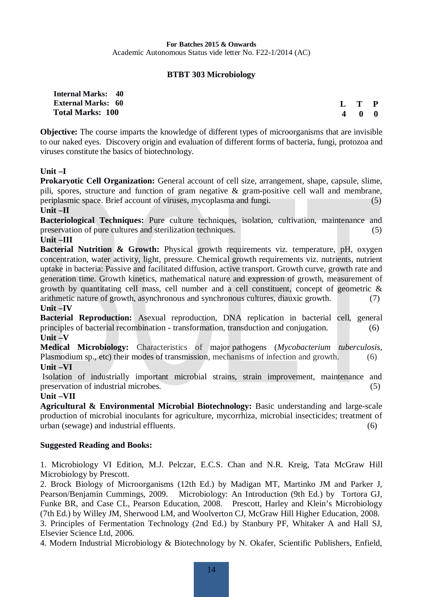#### **BTBT 303 Microbiology**

| <b>Internal Marks: 40</b> |  |
|---------------------------|--|
| <b>External Marks: 60</b> |  |
| <b>Total Marks: 100</b>   |  |

**L T P 4 0 0**

**Objective:** The course imparts the knowledge of different types of microorganisms that are invisible to our naked eyes. Discovery origin and evaluation of different forms of bacteria, fungi, protozoa and viruses constitute the basics of biotechnology.

#### **Unit –I**

**Prokaryotic Cell Organization:** General account of cell size, arrangement, shape, capsule, slime, pili, spores, structure and function of gram negative & gram-positive cell wall and membrane, periplasmic space. Brief account of viruses, mycoplasma and fungi. (5) **Unit –II** 

**Bacteriological Techniques:** Pure culture techniques, isolation, cultivation, maintenance and preservation of pure cultures and sterilization techniques. (5)

#### **Unit –III**

**Bacterial Nutrition & Growth:** Physical growth requirements viz. temperature, pH, oxygen concentration, water activity, light, pressure. Chemical growth requirements viz. nutrients, nutrient uptake in bacteria: Passive and facilitated diffusion, active transport. Growth curve, growth rate and generation time. Growth kinetics, mathematical nature and expression of growth, measurement of growth by quantitating cell mass, cell number and a cell constituent, concept of geometric & arithmetic nature of growth, asynchronous and synchronous cultures, diauxic growth. (7) **Unit –IV** 

**Bacterial Reproduction:** Asexual reproduction, DNA replication in bacterial cell, general principles of bacterial recombination - transformation, transduction and conjugation. (6) **Unit –V** 

**Medical Microbiology:** Characteristics of major [pathogens](https://en.wikipedia.org/wiki/Pathogens) (*[Mycobacterium tuberculosis,](https://en.wikipedia.org/wiki/Mycobacterium_tuberculosis)* Plasmodium sp., etc) their modes of transmission, mechanisms of infection and growth. (6) **Unit –VI** 

 Isolation of industrially important microbial strains, strain improvement, maintenance and preservation of industrial microbes. (5)

#### **Unit –VII**

**Agricultural & Environmental Microbial Biotechnology:** Basic understanding and large-scale production of microbial inoculants for agriculture, mycorrhiza, microbial insecticides; treatment of urban (sewage) and industrial effluents. (6)

#### **Suggested Reading and Books:**

1. Microbiology VI Edition, M.J. Pelczar, E.C.S. Chan and N.R. Kreig, Tata McGraw Hill Microbiology by Prescott.

2. Brock Biology of Microorganisms (12th Ed.) by Madigan MT, Martinko JM and Parker J, Pearson/Benjamin Cummings, 2009. Microbiology: An Introduction (9th Ed.) by Tortora GJ, Funke BR, and Case CL, Pearson Education, 2008. Prescott, Harley and Klein's Microbiology (7th Ed.) by Willey JM, Sherwood LM, and Woolverton CJ, McGraw Hill Higher Education, 2008. 3. Principles of Fermentation Technology (2nd Ed.) by Stanbury PF, Whitaker A and Hall SJ,

# Elsevier Science Ltd, 2006.

4. Modern Industrial Microbiology & Biotechnology by N. Okafer, Scientific Publishers, Enfield,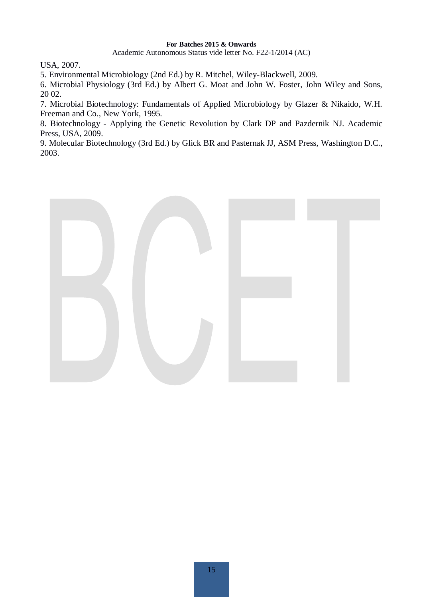Academic Autonomous Status vide letter No. F22-1/2014 (AC)

USA, 2007.

5. Environmental Microbiology (2nd Ed.) by R. Mitchel, Wiley-Blackwell, 2009.

6. Microbial Physiology (3rd Ed.) by Albert G. Moat and John W. Foster, John Wiley and Sons, 20 02.

7. Microbial Biotechnology: Fundamentals of Applied Microbiology by Glazer & Nikaido, W.H. Freeman and Co., New York, 1995.

8. Biotechnology - Applying the Genetic Revolution by Clark DP and Pazdernik NJ. Academic Press, USA, 2009.

9. Molecular Biotechnology (3rd Ed.) by Glick BR and Pasternak JJ, ASM Press, Washington D.C., 2003.

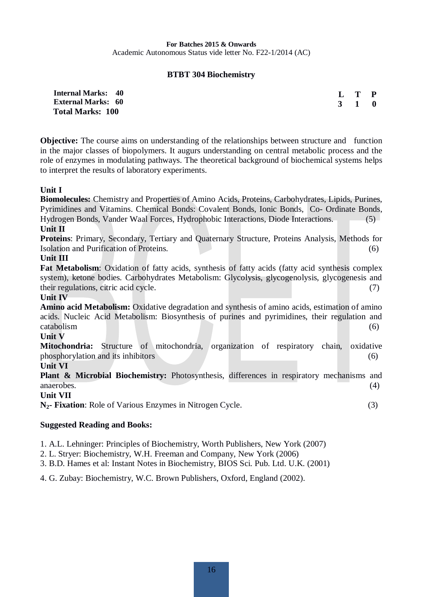#### **BTBT 304 Biochemistry**

| <b>Internal Marks: 40</b> | $L$ T P |  |
|---------------------------|---------|--|
| <b>External Marks: 60</b> | 3 1 0   |  |
| <b>Total Marks: 100</b>   |         |  |

**Objective:** The course aims on understanding of the relationships between structure and function in the major classes of biopolymers. It augurs understanding on central metabolic process and the role of enzymes in modulating pathways. The theoretical background of biochemical systems helps to interpret the results of laboratory experiments.

#### **Unit I**

**Biomolecules:** Chemistry and Properties of Amino Acids, Proteins, Carbohydrates, Lipids, Purines, Pyrimidines and Vitamins. Chemical Bonds: Covalent Bonds, Ionic Bonds, Co- Ordinate Bonds, Hydrogen Bonds, Vander Waal Forces, Hydrophobic Interactions, Diode Interactions. (5)

#### **Unit II**

**Proteins**: Primary, Secondary, Tertiary and Quaternary Structure, Proteins Analysis, Methods for Isolation and Purification of Proteins. (6)

#### **Unit III**

**Fat Metabolism**: Oxidation of fatty acids, synthesis of fatty acids (fatty acid synthesis complex system), ketone bodies. Carbohydrates Metabolism: Glycolysis, glycogenolysis, glycogenesis and their regulations, citric acid cycle. (7)

#### **Unit IV**

**Amino acid Metabolism:** Oxidative degradation and synthesis of amino acids, estimation of amino acids. Nucleic Acid Metabolism: Biosynthesis of purines and pyrimidines, their regulation and  $\alpha$ tabolism  $(6)$ 

#### **Unit V**

**Mitochondria:** Structure of mitochondria, organization of respiratory chain, oxidative phosphorylation and its inhibitors (6) (6)

#### **Unit VI**

**Plant & Microbial Biochemistry:** Photosynthesis, differences in respiratory mechanisms and anaerobes. (4)

**Unit VII**

**N2- Fixation**: Role of Various Enzymes in Nitrogen Cycle. (3)

#### **Suggested Reading and Books:**

- 1. A.L. Lehninger: Principles of Biochemistry, Worth Publishers, New York (2007)
- 2. L. Stryer: Biochemistry, W.H. Freeman and Company, New York (2006)
- 3. B.D. Hames et al: Instant Notes in Biochemistry, BIOS Sci. Pub. Ltd. U.K. (2001)

4. G. Zubay: Biochemistry, W.C. Brown Publishers, Oxford, England (2002).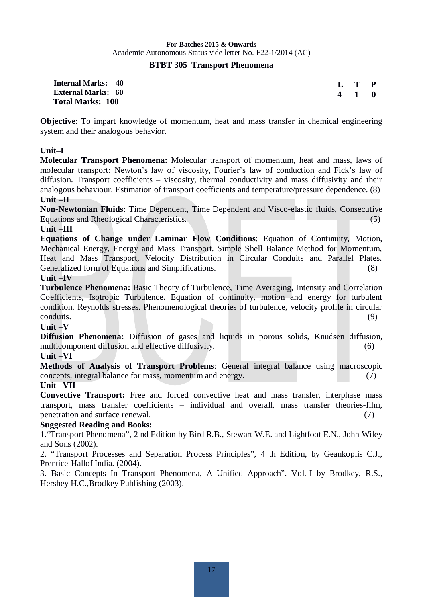#### **BTBT 305 Transport Phenomena**

| <b>Internal Marks: 40</b> |  |
|---------------------------|--|
| <b>External Marks: 60</b> |  |
| <b>Total Marks: 100</b>   |  |

| L | T | P |
|---|---|---|
| 4 |   | 0 |

**Objective**: To impart knowledge of momentum, heat and mass transfer in chemical engineering system and their analogous behavior.

#### **Unit–I**

**Molecular Transport Phenomena:** Molecular transport of momentum, heat and mass, laws of molecular transport: Newton's law of viscosity, Fourier's law of conduction and Fick's law of diffusion. Transport coefficients – viscosity, thermal conductivity and mass diffusivity and their analogous behaviour. Estimation of transport coefficients and temperature/pressure dependence. (8) **Unit –II** 

**Non-Newtonian Fluids**: Time Dependent, Time Dependent and Visco-elastic fluids, Consecutive Equations and Rheological Characteristics. (5)

#### **Unit –III**

**Equations of Change under Laminar Flow Conditions**: Equation of Continuity, Motion, Mechanical Energy, Energy and Mass Transport. Simple Shell Balance Method for Momentum, Heat and Mass Transport, Velocity Distribution in Circular Conduits and Parallel Plates. Generalized form of Equations and Simplifications. (8)

#### **Unit –IV**

**Turbulence Phenomena:** Basic Theory of Turbulence, Time Averaging, Intensity and Correlation Coefficients, Isotropic Turbulence. Equation of continuity, motion and energy for turbulent condition. Reynolds stresses. Phenomenological theories of turbulence, velocity profile in circular conduits. (9)

#### **Unit –V**

**Diffusion Phenomena:** Diffusion of gases and liquids in porous solids, Knudsen diffusion, multicomponent diffusion and effective diffusivity. (6)

#### **Unit –VI**

**Methods of Analysis of Transport Problems**: General integral balance using macroscopic concepts, integral balance for mass, momentum and energy. (7)

#### **Unit –VII**

**Convective Transport:** Free and forced convective heat and mass transfer, interphase mass transport, mass transfer coefficients – individual and overall, mass transfer theories-film, penetration and surface renewal. (7)

#### **Suggested Reading and Books:**

1."Transport Phenomena", 2 nd Edition by Bird R.B., Stewart W.E. and Lightfoot E.N., John Wiley and Sons (2002).

2. "Transport Processes and Separation Process Principles", 4 th Edition, by Geankoplis C.J., Prentice-Hallof India. (2004).

3. Basic Concepts In Transport Phenomena, A Unified Approach". Vol.-I by Brodkey, R.S., Hershey H.C.,Brodkey Publishing (2003).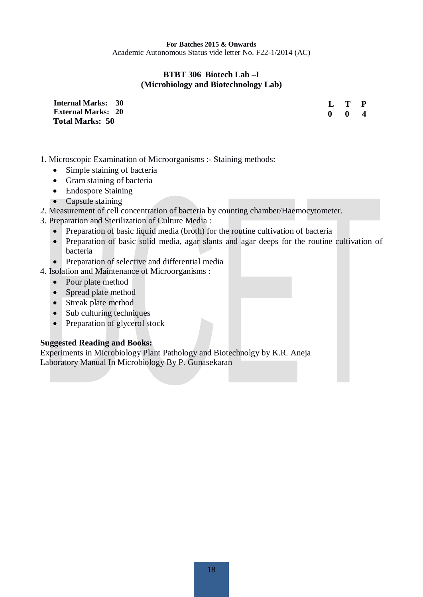#### **BTBT 306 Biotech Lab –I (Microbiology and Biotechnology Lab)**

**Internal Marks: 30 External Marks: 20 Total Marks: 50** 

**L T P 0 0 4**

- 1. Microscopic Examination of Microorganisms :- Staining methods:
	- $\bullet$  Simple staining of bacteria
	- $\bullet$  Gram staining of bacteria
	- $\bullet$  Endospore Staining
	- $\bullet$  Capsule staining
- 2. Measurement of cell concentration of bacteria by counting chamber/Haemocytometer.
- 3. Preparation and Sterilization of Culture Media :
	- Preparation of basic liquid media (broth) for the routine cultivation of bacteria
	- Preparation of basic solid media, agar slants and agar deeps for the routine cultivation of bacteria
	- $\bullet$  Preparation of selective and differential media
- 4. Isolation and Maintenance of Microorganisms :
	- Pour plate method
	- Spread plate method
	- Streak plate method
	- $\bullet$  Sub culturing techniques
	- $\bullet$  Preparation of glycerol stock

#### **Suggested Reading and Books:**

Experiments in Microbiology Plant Pathology and Biotechnolgy by K.R. Aneja Laboratory Manual In Microbiology By P. Gunasekaran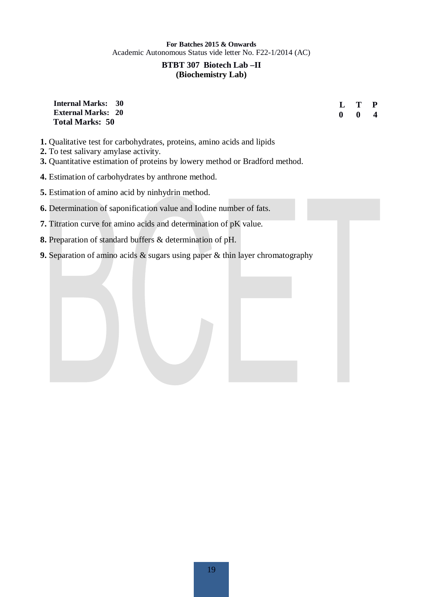#### **BTBT 307 Biotech Lab –II (Biochemistry Lab)**

#### **Internal Marks: 30 External Marks: 20 Total Marks: 50**

**L T P 0 0 4**

- **1.** Qualitative test for carbohydrates, proteins, amino acids and lipids
- **2.** To test salivary amylase activity.
- **3.** Quantitative estimation of proteins by lowery method or Bradford method.
- **4.** Estimation of carbohydrates by anthrone method.
- **5.** Estimation of amino acid by ninhydrin method.
- **6.** Determination of saponification value and Iodine number of fats.
- **7.** Titration curve for amino acids and determination of pK value.
- **8.** Preparation of standard buffers & determination of pH.
- **9.** Separation of amino acids & sugars using paper & thin layer chromatography

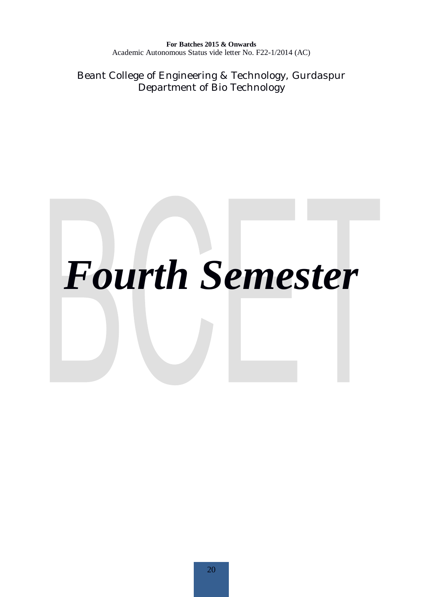Beant College of Engineering & Technology, Gurdaspur Department of Bio Technology

# *Fourth Semester*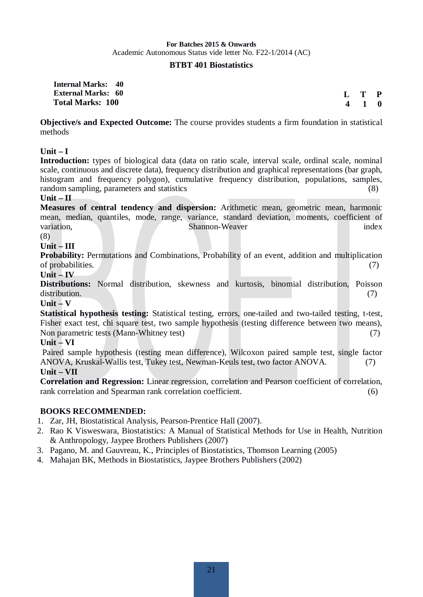#### **BTBT 401 Biostatistics**

**Internal Marks: 40 External Marks: 60 Total Marks: 100** 

 **L T P** *A* 

**Objective/s and Expected Outcome:** The course provides students a firm foundation in statistical methods

#### **Unit – I**

**Introduction:** types of biological data (data on ratio scale, interval scale, ordinal scale, nominal scale, continuous and discrete data), frequency distribution and graphical representations (bar graph, histogram and frequency polygon), cumulative frequency distribution, populations, samples, random sampling, parameters and statistics (8)

#### **Unit – II**

**Measures of central tendency and dispersion:** Arithmetic mean, geometric mean, harmonic mean, median, quantiles, mode, range, variance, standard deviation, moments, coefficient of variation. Shannon-Weaver index (8)

#### **Unit – III**

**Probability:** Permutations and Combinations, Probability of an event, addition and multiplication of probabilities. (7)

#### **Unit – IV**

**Distributions:** Normal distribution, skewness and kurtosis, binomial distribution, Poisson distribution. (7)

**Unit – V** 

**Statistical hypothesis testing:** Statistical testing, errors, one-tailed and two-tailed testing, t-test, Fisher exact test, chi square test, two sample hypothesis (testing difference between two means), Non parametric tests (Mann-Whitney test) (7)

#### **Unit – VI**

 Paired sample hypothesis (testing mean difference), Wilcoxon paired sample test, single factor ANOVA, Kruskal-Wallis test, Tukey test, Newman-Keuls test, two factor ANOVA. (7) **Unit – VII** 

**Correlation and Regression:** Linear regression, correlation and Pearson coefficient of correlation, rank correlation and Spearman rank correlation coefficient. (6)

#### **BOOKS RECOMMENDED:**

- 1. Zar, JH, Biostatistical Analysis, Pearson-Prentice Hall (2007).
- 2. Rao K Visweswara, Biostatistics: A Manual of Statistical Methods for Use in Health, Nutrition & Anthropology, Jaypee Brothers Publishers (2007)
- 3. Pagano, M. and Gauvreau, K., Principles of Biostatistics, Thomson Learning (2005)
- 4. Mahajan BK, Methods in Biostatistics, Jaypee Brothers Publishers (2002)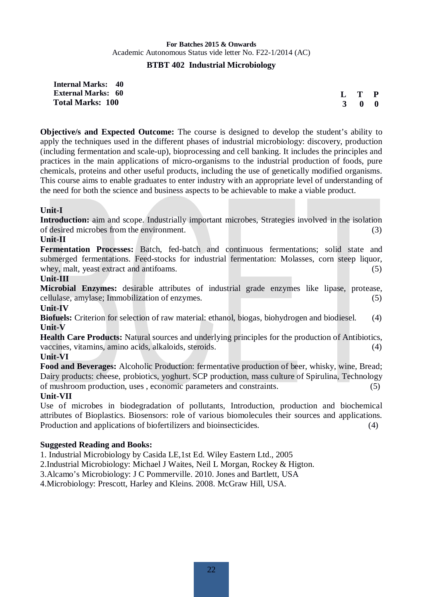#### **BTBT 402 Industrial Microbiology**

**Internal Marks: 40 External Marks: 60 Total Marks: 100** 

**L T P 3 0 0**

**Objective/s and Expected Outcome:** The course is designed to develop the student's ability to apply the techniques used in the different phases of industrial microbiology: discovery, production (including fermentation and scale-up), bioprocessing and cell banking. It includes the principles and practices in the main applications of micro-organisms to the industrial production of foods, pure chemicals, proteins and other useful products, including the use of genetically modified organisms. This course aims to enable graduates to enter industry with an appropriate level of understanding of the need for both the science and business aspects to be achievable to make a viable product.

#### **Unit-I**

**Introduction:** aim and scope. Industrially important microbes, Strategies involved in the isolation of desired microbes from the environment. (3)

#### **Unit-II**

**Fermentation Processes:** Batch, fed-batch and continuous fermentations; solid state and submerged fermentations. Feed-stocks for industrial fermentation: Molasses, corn steep liquor, whey, malt, yeast extract and antifoams. (5)  $(5)$ 

#### **Unit-III**

**Microbial Enzymes:** desirable attributes of industrial grade enzymes like lipase, protease, cellulase, amylase; Immobilization of enzymes. (5)

#### **Unit-IV**

**Biofuels:** Criterion for selection of raw material: ethanol, biogas, biohydrogen and biodiesel. (4) **Unit-V** 

**Health Care Products:** Natural sources and underlying principles for the production of Antibiotics, vaccines, vitamins, amino acids, alkaloids, steroids. (4)

#### **Unit-VI**

**Food and Beverages:** Alcoholic Production: fermentative production of beer, whisky, wine, Bread; Dairy products: cheese, probiotics, yoghurt. SCP production, mass culture of Spirulina, Technology of mushroom production, uses , economic parameters and constraints. (5)

#### **Unit-VII**

Use of microbes in biodegradation of pollutants, Introduction, production and biochemical attributes of Bioplastics. Biosensors: role of various biomolecules their sources and applications. Production and applications of biofertilizers and bioinsecticides. (4)

#### **Suggested Reading and Books:**

1. Industrial Microbiology by Casida LE,1st Ed. Wiley Eastern Ltd., 2005

2.Industrial Microbiology: Michael J Waites, Neil L Morgan, Rockey & Higton.

3.Alcamo's Microbiology: J C Pommerville. 2010. Jones and Bartlett, USA

4.Microbiology: Prescott, Harley and Kleins. 2008. McGraw Hill, USA.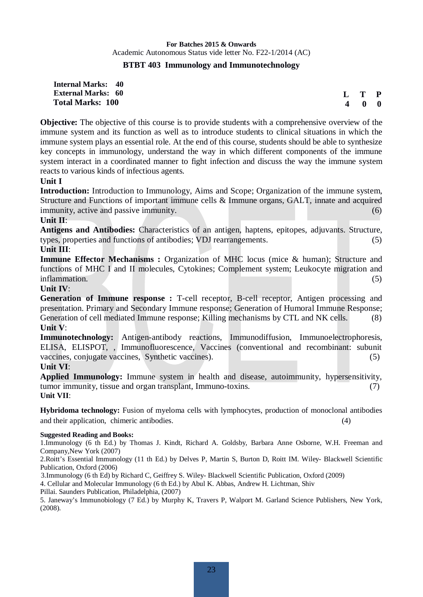#### **BTBT 403 Immunology and Immunotechnology**

**Internal Marks: 40 External Marks: 60 Total Marks: 100** 

**L T P 4 0 0**

**Objective:** The objective of this course is to provide students with a comprehensive overview of the immune system and its function as well as to introduce students to clinical situations in which the immune system plays an essential role. At the end of this course, students should be able to synthesize key concepts in immunology, understand the way in which different components of the immune system interact in a coordinated manner to fight infection and discuss the way the immune system reacts to various kinds of infectious agents.

#### **Unit I**

**Introduction:** Introduction to Immunology, Aims and Scope; Organization of the immune system, Structure and Functions of important immune cells & Immune organs, GALT, innate and acquired immunity, active and passive immunity. (6)  $(6)$ 

#### **Unit II**:

**Antigens and Antibodies:** Characteristics of an antigen, haptens, epitopes, adjuvants. Structure, types, properties and functions of antibodies; VDJ rearrangements. (5) **Unit III**:

**Immune Effector Mechanisms :** Organization of MHC locus (mice & human); Structure and functions of MHC I and II molecules, Cytokines; Complement system; Leukocyte migration and inflammation. (5)

#### **Unit IV**:

**Generation of Immune response :** T-cell receptor, B-cell receptor, Antigen processing and presentation. Primary and Secondary Immune response; Generation of Humoral Immune Response; Generation of cell mediated Immune response; Killing mechanisms by CTL and NK cells. (8) **Unit V**:

**Immunotechnology:** Antigen-antibody reactions, Immunodiffusion, Immunoelectrophoresis, ELISA, ELISPOT, , Immunofluorescence, Vaccines (conventional and recombinant: subunit vaccines, conjugate vaccines, Synthetic vaccines). (5)

#### **Unit VI**:

**Applied Immunology:** Immune system in health and disease, autoimmunity, hypersensitivity, tumor immunity, tissue and organ transplant, Immuno-toxins. (7) **Unit VII**:

**Hybridoma technology:** Fusion of myeloma cells with lymphocytes, production of monoclonal antibodies and their application, chimeric antibodies. (4)

#### **Suggested Reading and Books:**

1.Immunology (6 th Ed.) by Thomas J. Kindt, Richard A. Goldsby, Barbara Anne Osborne, W.H. Freeman and Company,New York (2007)

2.Roitt's Essential Immunology (11 th Ed.) by Delves P, Martin S, Burton D, Roitt IM. Wiley- Blackwell Scientific Publication, Oxford (2006)

3.Immunology (6 th Ed) by Richard C, Geiffrey S. Wiley- Blackwell Scientific Publication, Oxford (2009)

4. Cellular and Molecular Immunology (6 th Ed.) by Abul K. Abbas, Andrew H. Lichtman, Shiv

Pillai. Saunders Publication, Philadelphia, (2007)

5. Janeway's Immunobiology (7 Ed.) by Murphy K, Travers P, Walport M. Garland Science Publishers, New York, (2008).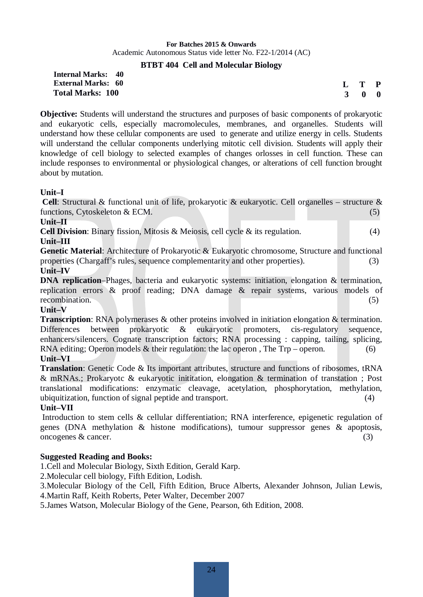#### **BTBT 404 Cell and Molecular Biology**

#### **Internal Marks: 40 External Marks: 60 Total Marks: 100**

| L        | T | P |
|----------|---|---|
| <b>3</b> | 0 | 0 |

**Objective:** Students will understand the structures and purposes of basic components of prokaryotic and eukaryotic cells, especially macromolecules, membranes, and organelles. Students will understand how these cellular components are used to generate and utilize energy in cells. Students will understand the cellular components underlying mitotic cell division. Students will apply their knowledge of cell biology to selected examples of changes orlosses in cell function. These can include responses to environmental or physiological changes, or alterations of cell function brought about by mutation.

#### **Unit–I**

 **Cell**: Structural & functional unit of life, prokaryotic & eukaryotic. Cell organelles – structure & functions, Cytoskeleton & ECM. (5)

#### **Unit–II**

**Cell Division:** Binary fission, Mitosis & Meiosis, cell cycle & its regulation. (4)

#### **Unit–III**

**Genetic Material**: Architecture of Prokaryotic & Eukaryotic chromosome, Structure and functional properties (Chargaff's rules, sequence complementarity and other properties). (3) **Unit–IV** 

**DNA replication–Phages, bacteria and eukaryotic systems: initiation, elongation & termination,** replication errors & proof reading; DNA damage & repair systems, various models of recombination. (5)

#### **Unit–V**

**Transcription**: RNA polymerases & other proteins involved in initiation elongation & termination. Differences between prokaryotic & eukaryotic promoters, cis-regulatory sequence, enhancers/silencers. Cognate transcription factors; RNA processing : capping, tailing, splicing, RNA editing; Operon models  $\&$  their regulation: the lac operon, The Trp – operon. (6) **Unit–VI** 

**Translation**: Genetic Code & Its important attributes, structure and functions of ribosomes, tRNA & mRNAs.; Prokaryotc & eukaryotic inititation, elongation & termination of transtation ; Post translational modifications: enzymatic cleavage, acetylation, phosphorytation, methylation, ubiquitization, function of signal peptide and transport. (4)

#### **Unit–VII**

Introduction to stem cells & cellular differentiation; RNA interference, epigenetic regulation of genes (DNA methylation & histone modifications), tumour suppressor genes & apoptosis,  $\omega$  oncogenes & cancer. (3)

#### **Suggested Reading and Books:**

1.Cell and Molecular Biology, Sixth Edition, Gerald Karp.

2.Molecular cell biology, Fifth Edition, Lodish.

3.Molecular Biology of the Cell, Fifth Edition, Bruce Alberts, Alexander Johnson, Julian Lewis, 4.Martin Raff, Keith Roberts, Peter Walter, December 2007

5.James Watson, Molecular Biology of the Gene, Pearson, 6th Edition, 2008.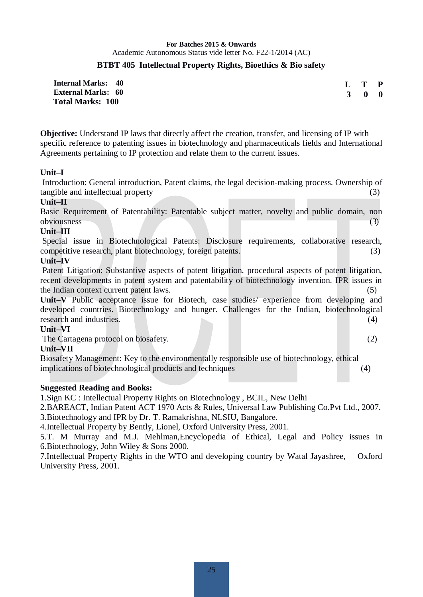#### **BTBT 405 Intellectual Property Rights, Bioethics & Bio safety**

| <b>Internal Marks: 40</b> | L T P               |  |
|---------------------------|---------------------|--|
| <b>External Marks: 60</b> | $3 \quad 0 \quad 0$ |  |
| <b>Total Marks: 100</b>   |                     |  |

**Objective:** Understand IP laws that directly affect the creation, transfer, and licensing of IP with specific reference to patenting issues in biotechnology and pharmaceuticals fields and International Agreements pertaining to IP protection and relate them to the current issues.

#### **Unit–I**

Introduction: General introduction, Patent claims, the legal decision-making process. Ownership of tangible and intellectual property (3)

#### **Unit–II**

Basic Requirement of Patentability: Patentable subject matter, novelty and public domain, non obviousness (3)

#### **Unit–III**

Special issue in Biotechnological Patents: Disclosure requirements, collaborative research, competitive research, plant biotechnology, foreign patents. (3)

#### **Unit–IV**

Patent Litigation: Substantive aspects of patent litigation, procedural aspects of patent litigation, recent developments in patent system and patentability of biotechnology invention. IPR issues in the Indian context current patent laws. (5)

**Unit–V** Public acceptance issue for Biotech, case studies/ experience from developing and developed countries. Biotechnology and hunger. Challenges for the Indian, biotechnological research and industries. (4) (4)

#### **Unit–VI**

The Cartagena protocol on biosafety. (2)

#### **Unit–VII**

Biosafety Management: Key to the environmentally responsible use of biotechnology, ethical implications of biotechnological products and techniques (4)

#### **Suggested Reading and Books:**

1.Sign KC : Intellectual Property Rights on Biotechnology , BCIL, New Delhi

2.BAREACT, Indian Patent ACT 1970 Acts & Rules, Universal Law Publishing Co.Pvt Ltd., 2007. 3.Biotechnology and IPR by Dr. T. Ramakrishna, NLSIU, Bangalore.

4.Intellectual Property by Bently, Lionel, Oxford University Press, 2001.

5.T. M Murray and M.J. Mehlman,Encyclopedia of Ethical, Legal and Policy issues in 6.Biotechnology, John Wiley & Sons 2000.

7.Intellectual Property Rights in the WTO and developing country by Watal Jayashree, Oxford University Press, 2001.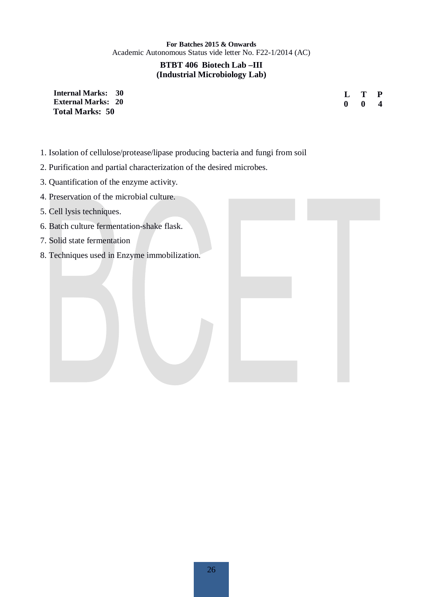#### **BTBT 406 Biotech Lab –III (Industrial Microbiology Lab)**

**Internal Marks: 30 External Marks: 20 Total Marks: 50** 

**L T P 0 0 4**

- 1. Isolation of cellulose/protease/lipase producing bacteria and fungi from soil
- 2. Purification and partial characterization of the desired microbes.
- 3. Quantification of the enzyme activity.
- 4. Preservation of the microbial culture.
- 5. Cell lysis techniques.
- 6. Batch culture fermentation-shake flask.
- 7. Solid state fermentation
- 8. Techniques used in Enzyme immobilization.

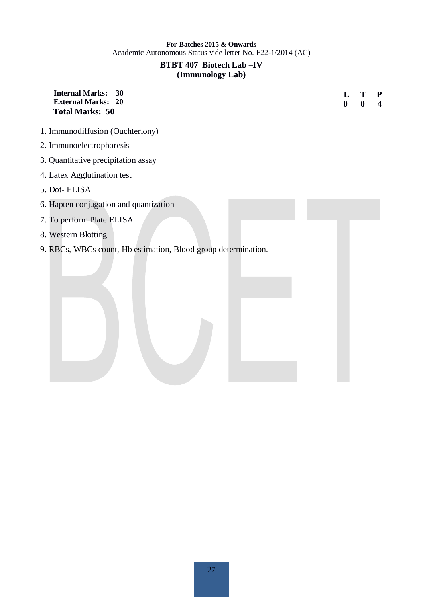#### **BTBT 407 Biotech Lab –IV (Immunology Lab)**

| <b>Internal Marks:</b><br>30<br><b>External Marks:</b><br>20<br><b>Total Marks: 50</b> | L<br>$\bf{0}$ | 0 | ${\bf P}$<br>$\overline{\mathbf{4}}$ |
|----------------------------------------------------------------------------------------|---------------|---|--------------------------------------|
| 1. Immunodiffusion (Ouchterlony)                                                       |               |   |                                      |
| 2. Immunoelectrophoresis                                                               |               |   |                                      |
| 3. Quantitative precipitation assay                                                    |               |   |                                      |
| 4. Latex Agglutination test                                                            |               |   |                                      |
| 5. Dot-ELISA                                                                           |               |   |                                      |
| 6. Hapten conjugation and quantization                                                 |               |   |                                      |
| 7. To perform Plate ELISA                                                              |               |   |                                      |
| 8. Western Blotting                                                                    |               |   |                                      |
| 9. RBCs, WBCs count, Hb estimation, Blood group determination.                         |               |   |                                      |
|                                                                                        |               |   |                                      |
|                                                                                        |               |   |                                      |
|                                                                                        |               |   |                                      |
|                                                                                        |               |   |                                      |
|                                                                                        |               |   |                                      |
|                                                                                        |               |   |                                      |
|                                                                                        |               |   |                                      |
|                                                                                        |               |   |                                      |
|                                                                                        |               |   |                                      |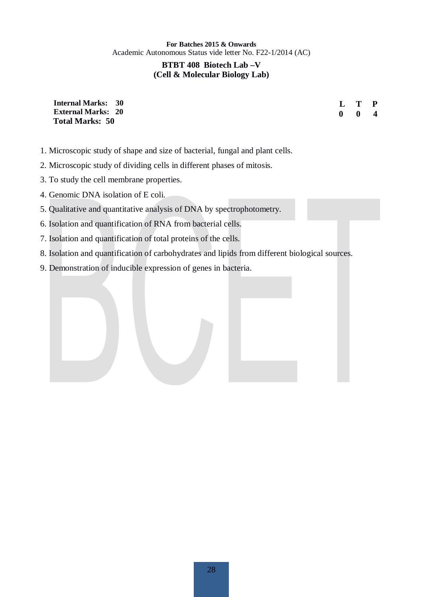#### **BTBT 408 Biotech Lab –V (Cell & Molecular Biology Lab)**

| <b>Internal Marks: 30</b> |  |
|---------------------------|--|
| <b>External Marks: 20</b> |  |
| <b>Total Marks: 50</b>    |  |

- **L T P 0 0 4**
- 1. Microscopic study of shape and size of bacterial, fungal and plant cells.
- 2. Microscopic study of dividing cells in different phases of mitosis.
- 3. To study the cell membrane properties.
- 4. Genomic DNA isolation of E coli.
- 5. Qualitative and quantitative analysis of DNA by spectrophotometry.
- 6. Isolation and quantification of RNA from bacterial cells.
- 7. Isolation and quantification of total proteins of the cells.
- 8. Isolation and quantification of carbohydrates and lipids from different biological sources.
- 9. Demonstration of inducible expression of genes in bacteria.

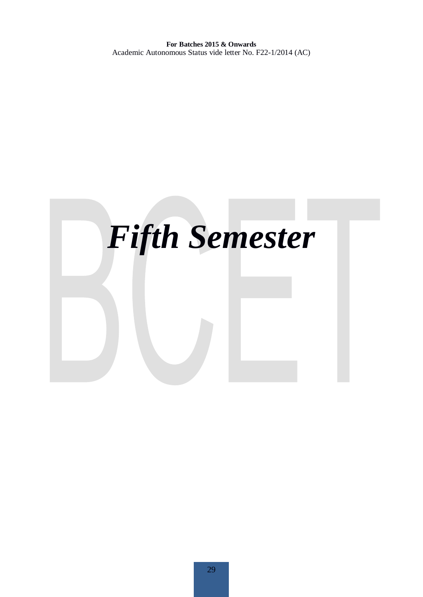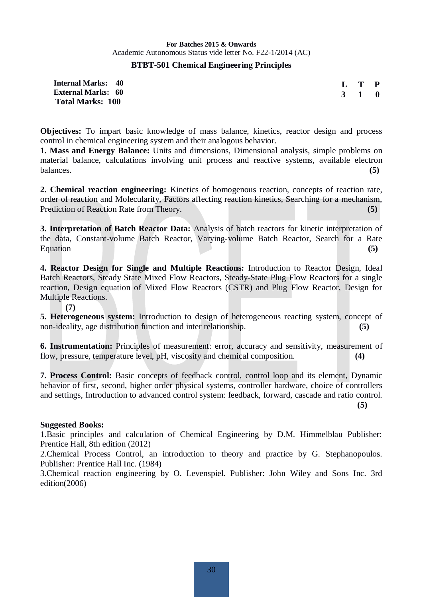#### **BTBT-501 Chemical Engineering Principles**

| Internal Marks: 40        | $L$ T P             |  |
|---------------------------|---------------------|--|
| <b>External Marks: 60</b> | $3 \quad 1 \quad 0$ |  |
| <b>Total Marks: 100</b>   |                     |  |

**Objectives:** To impart basic knowledge of mass balance, kinetics, reactor design and process control in chemical engineering system and their analogous behavior.

**1. Mass and Energy Balance:** Units and dimensions, Dimensional analysis, simple problems on material balance, calculations involving unit process and reactive systems, available electron balances. **(5)** 

**2. Chemical reaction engineering:** Kinetics of homogenous reaction, concepts of reaction rate, order of reaction and Molecularity, Factors affecting reaction kinetics, Searching for a mechanism, Prediction of Reaction Rate from Theory. **(5)** 

**3. Interpretation of Batch Reactor Data:** Analysis of batch reactors for kinetic interpretation of the data, Constant-volume Batch Reactor, Varying-volume Batch Reactor, Search for a Rate Equation (5)

**4. Reactor Design for Single and Multiple Reactions:** Introduction to Reactor Design, Ideal Batch Reactors, Steady State Mixed Flow Reactors, Steady-State Plug Flow Reactors for a single reaction, Design equation of Mixed Flow Reactors (CSTR) and Plug Flow Reactor, Design for Multiple Reactions.

**(7)**

**5. Heterogeneous system:** Introduction to design of heterogeneous reacting system, concept of non-ideality, age distribution function and inter relationship. **(5) (5)** 

**6. Instrumentation:** Principles of measurement: error, accuracy and sensitivity, measurement of flow, pressure, temperature level, pH, viscosity and chemical composition. **(4)** 

**7. Process Control:** Basic concepts of feedback control, control loop and its element, Dynamic behavior of first, second, higher order physical systems, controller hardware, choice of controllers and settings, Introduction to advanced control system: feedback, forward, cascade and ratio control.

 **(5)**

#### **Suggested Books:**

1.Basic principles and calculation of Chemical Engineering by D.M. Himmelblau Publisher: Prentice Hall, 8th edition (2012)

2.Chemical Process Control, an introduction to theory and practice by G. Stephanopoulos. Publisher: Prentice Hall Inc. (1984)

3.Chemical reaction engineering by O. Levenspiel. Publisher: John Wiley and Sons Inc. 3rd edition(2006)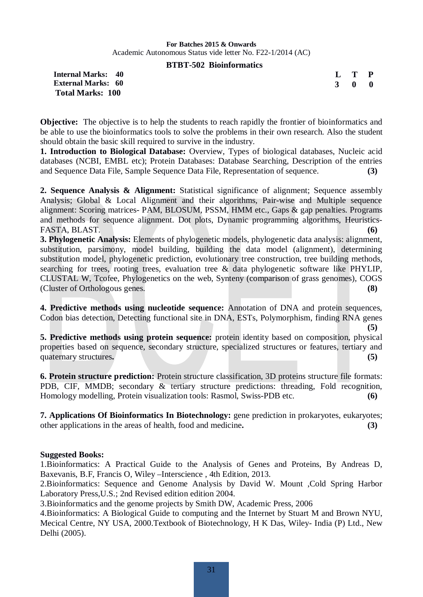#### **BTBT-502 Bioinformatics**

**Internal Marks: 40 External Marks: 60 Total Marks: 100** 

| L            | T. | P            |
|--------------|----|--------------|
| $\mathbf{R}$ | o  | $\mathbf{0}$ |

**Objective:** The objective is to help the students to reach rapidly the frontier of bioinformatics and be able to use the bioinformatics tools to solve the problems in their own research. Also the student should obtain the basic skill required to survive in the industry.

**1. Introduction to Biological Database:** Overview, Types of biological databases, Nucleic acid databases (NCBI, EMBL etc); Protein Databases: Database Searching, Description of the entries and Sequence Data File, Sample Sequence Data File, Representation of sequence. **(3)**

**2. Sequence Analysis & Alignment:** Statistical significance of alignment; Sequence assembly Analysis; Global & Local Alignment and their algorithms, Pair-wise and Multiple sequence alignment: Scoring matrices- PAM, BLOSUM, PSSM, HMM etc., Gaps & gap penalties. Programs and methods for sequence alignment. Dot plots, Dynamic programming algorithms, Heuristics-FASTA, BLAST. **(6)**

**3. Phylogenetic Analysis:** Elements of phylogenetic models, phylogenetic data analysis: alignment, substitution, parsimony, model building, building the data model (alignment), determining substitution model, phylogenetic prediction, evolutionary tree construction, tree building methods, searching for trees, rooting trees, evaluation tree & data phylogenetic software like PHYLIP, CLUSTAL W, Tcofee, Phylogenetics on the web, Synteny (comparison of grass genomes), COGS (Cluster of Orthologous genes. **(8)**

**4. Predictive methods using nucleotide sequence:** Annotation of DNA and protein sequences, Codon bias detection, Detecting functional site in DNA, ESTs, Polymorphism, finding RNA genes **(5)**

**5. Predictive methods using protein sequence:** protein identity based on composition, physical properties based on sequence, secondary structure, specialized structures or features, tertiary and quaternary structures. (5)

**6. Protein structure prediction:** Protein structure classification, 3D proteins structure file formats: PDB, CIF, MMDB; secondary & tertiary structure predictions: threading, Fold recognition, Homology modelling, Protein visualization tools: Rasmol, Swiss-PDB etc. **(6)**

**7. Applications Of Bioinformatics In Biotechnology:** gene prediction in prokaryotes, eukaryotes; other applications in the areas of health, food and medicine**. (3)**

#### **Suggested Books:**

1.Bioinformatics: A Practical Guide to the Analysis of Genes and Proteins, By Andreas D, Baxevanis, B.F, Francis O, Wiley –Interscience , 4th Edition, 2013.

2.Bioinformatics: Sequence and Genome Analysis by David W. Mount ,Cold Spring Harbor Laboratory Press,U.S.; 2nd Revised edition edition 2004.

3.Bioinformatics and the genome projects by Smith DW, Academic Press, 2006

4.Bioinformatics: A Biological Guide to computing and the Internet by Stuart M and Brown NYU, Mecical Centre, NY USA, 2000.Textbook of Biotechnology, H K Das, Wiley- India (P) Ltd., New Delhi (2005).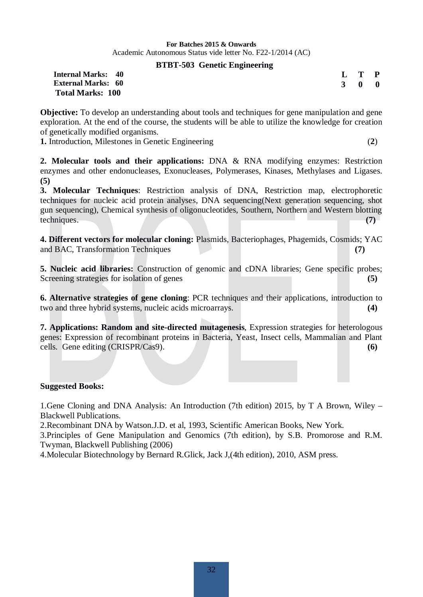#### **BTBT-503 Genetic Engineering**

| <b>Internal Marks: 40</b> |  | $L$ T P             |  |
|---------------------------|--|---------------------|--|
| <b>External Marks: 60</b> |  | $3 \quad 0 \quad 0$ |  |
| <b>Total Marks: 100</b>   |  |                     |  |

**Objective:** To develop an understanding about tools and techniques for gene manipulation and gene exploration. At the end of the course, the students will be able to utilize the knowledge for creation of genetically modified organisms.

**1.** Introduction, Milestones in Genetic Engineering (**2**)

**2. Molecular tools and their applications:** DNA & RNA modifying enzymes: Restriction enzymes and other endonucleases, Exonucleases, Polymerases, Kinases, Methylases and Ligases. **(5)**

**3. Molecular Techniques**: Restriction analysis of DNA, Restriction map, electrophoretic techniques for nucleic acid protein analyses, DNA sequencing(Next generation sequencing, shot gun sequencing), Chemical synthesis of oligonucleotides, Southern, Northern and Western blotting techniques. **(7)** 

**4. Different vectors for molecular cloning:** Plasmids, Bacteriophages, Phagemids, Cosmids; YAC and BAC, Transformation Techniques **(7) (7)** 

**5. Nucleic acid libraries:** Construction of genomic and cDNA libraries; Gene specific probes; Screening strategies for isolation of genes **(5) (5)** 

**6. Alternative strategies of gene cloning**: PCR techniques and their applications, introduction to two and three hybrid systems, nucleic acids microarrays. **(4)**

**7. Applications: Random and site-directed mutagenesis**, Expression strategies for heterologous genes: Expression of recombinant proteins in Bacteria, Yeast, Insect cells, Mammalian and Plant cells. Gene editing (CRISPR/Cas9). **(6)**

#### **Suggested Books:**

1.Gene Cloning and DNA Analysis: An Introduction (7th edition) 2015, by T A Brown, Wiley – Blackwell Publications.

2.Recombinant DNA by Watson.J.D. et al, 1993, Scientific American Books, New York.

3.Principles of Gene Manipulation and Genomics (7th edition), by S.B. Promorose and R.M. Twyman, Blackwell Publishing (2006)

4.Molecular Biotechnology by Bernard R.Glick, Jack J,(4th edition), 2010, ASM press.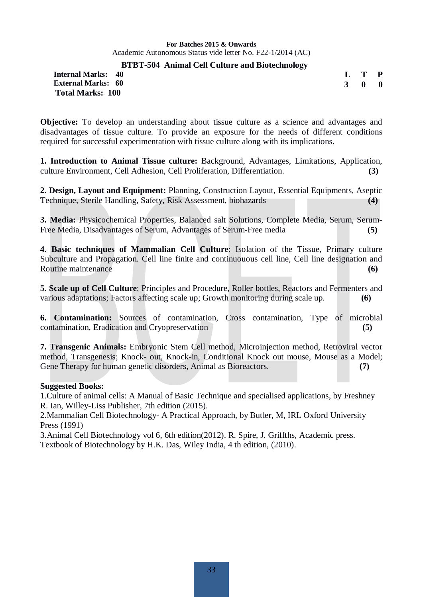#### **BTBT-504 Animal Cell Culture and Biotechnology**

**Internal Marks: 40 External Marks: 60 Total Marks: 100** 

**L T P 3 0 0**

**Objective:** To develop an understanding about tissue culture as a science and advantages and disadvantages of tissue culture. To provide an exposure for the needs of different conditions required for successful experimentation with tissue culture along with its implications.

**1. Introduction to Animal Tissue culture:** Background, Advantages, Limitations, Application, culture Environment, Cell Adhesion, Cell Proliferation, Differentiation. **(3)** 

**2. Design, Layout and Equipment:** Planning, Construction Layout, Essential Equipments, Aseptic Technique, Sterile Handling, Safety, Risk Assessment, biohazards **(4)** 

**3. Media:** Physicochemical Properties, Balanced salt Solutions, Complete Media, Serum, Serum-Free Media, Disadvantages of Serum, Advantages of Serum-Free media **(5)**

**4. Basic techniques of Mammalian Cell Culture**: Isolation of the Tissue, Primary culture Subculture and Propagation. Cell line finite and continuouous cell line, Cell line designation and Routine maintenance **(6) (6)** 

**5. Scale up of Cell Culture**: Principles and Procedure, Roller bottles, Reactors and Fermenters and various adaptations; Factors affecting scale up; Growth monitoring during scale up. **(6)**

**6. Contamination:** Sources of contamination, Cross contamination, Type of microbial contamination, Eradication and Cryopreservation **(5)** 

**7. Transgenic Animals:** Embryonic Stem Cell method, Microinjection method, Retroviral vector method, Transgenesis; Knock- out, Knock-in, Conditional Knock out mouse, Mouse as a Model; Gene Therapy for human genetic disorders, Animal as Bioreactors. **(7) (7)** 

#### **Suggested Books:**

1.Culture of animal cells: A Manual of Basic Technique and specialised applications, by Freshney R. Ian, Willey-Liss Publisher, 7th edition (2015).

2.Mammalian Cell Biotechnology- A Practical Approach, by Butler, M, IRL Oxford University Press (1991)

3.Animal Cell Biotechnology vol 6, 6th edition(2012). R. Spire, J. Griffths, Academic press. Textbook of Biotechnology by H.K. Das, Wiley India, 4 th edition, (2010).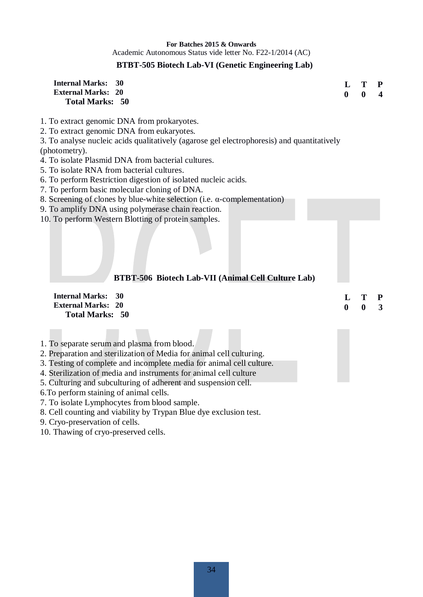#### **BTBT-505 Biotech Lab-VI (Genetic Engineering Lab)**

| <b>Internal Marks:</b><br>30<br><b>External Marks: 20</b><br><b>Total Marks: 50</b>                       | L<br>$\mathbf{0}$ | T<br>$\mathbf{0}$ | P<br>4       |
|-----------------------------------------------------------------------------------------------------------|-------------------|-------------------|--------------|
| 1. To extract genomic DNA from prokaryotes.                                                               |                   |                   |              |
| 2. To extract genomic DNA from eukaryotes.                                                                |                   |                   |              |
| 3. To analyse nucleic acids qualitatively (agarose gel electrophoresis) and quantitatively                |                   |                   |              |
| (photometry).                                                                                             |                   |                   |              |
| 4. To isolate Plasmid DNA from bacterial cultures.                                                        |                   |                   |              |
| 5. To isolate RNA from bacterial cultures.                                                                |                   |                   |              |
| 6. To perform Restriction digestion of isolated nucleic acids.                                            |                   |                   |              |
| 7. To perform basic molecular cloning of DNA.                                                             |                   |                   |              |
| 8. Screening of clones by blue-white selection (i.e. $\alpha$ -complementation)                           |                   |                   |              |
| 9. To amplify DNA using polymerase chain reaction.<br>10. To perform Western Blotting of protein samples. |                   |                   |              |
| BTBT-506 Biotech Lab-VII (Animal Cell Culture Lab)                                                        |                   |                   |              |
| <b>Internal Marks:</b><br>30                                                                              | L                 | T                 | $\mathbf{P}$ |
| <b>External Marks: 20</b>                                                                                 | $\bf{0}$          | $\boldsymbol{0}$  | 3            |
| <b>Total Marks: 50</b>                                                                                    |                   |                   |              |
|                                                                                                           |                   |                   |              |
| 1. To separate serum and plasma from blood.                                                               |                   |                   |              |
| 2. Preparation and sterilization of Media for animal cell culturing.                                      |                   |                   |              |
| 3. Testing of complete and incomplete media for animal cell culture.                                      |                   |                   |              |
| 4. Sterilization of media and instruments for animal cell culture                                         |                   |                   |              |
| 5. Culturing and subculturing of adherent and suspension cell.                                            |                   |                   |              |
| 6. To perform staining of animal cells.                                                                   |                   |                   |              |
| 7. To isolate Lymphocytes from blood sample.                                                              |                   |                   |              |

8. Cell counting and viability by Trypan Blue dye exclusion test.

9. Cryo-preservation of cells.

10. Thawing of cryo-preserved cells.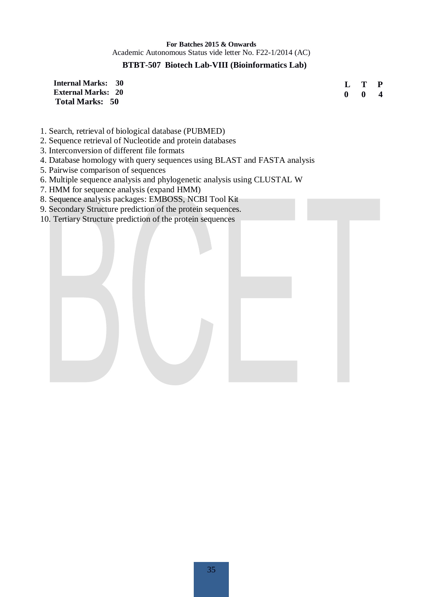#### **BTBT-507 Biotech Lab-VIII (Bioinformatics Lab)**

**Internal Marks: 30 External Marks: 20 Total Marks: 50** 

**L T P 0 0 4**

- 1. Search, retrieval of biological database (PUBMED)
- 2. Sequence retrieval of Nucleotide and protein databases
- 3. Interconversion of different file formats
- 4. Database homology with query sequences using BLAST and FASTA analysis
- 5. Pairwise comparison of sequences
- 6. Multiple sequence analysis and phylogenetic analysis using CLUSTAL W
- 7. HMM for sequence analysis (expand HMM)
- 8. Sequence analysis packages: EMBOSS, NCBI Tool Kit
- 9. Secondary Structure prediction of the protein sequences.
- 10. Tertiary Structure prediction of the protein sequences

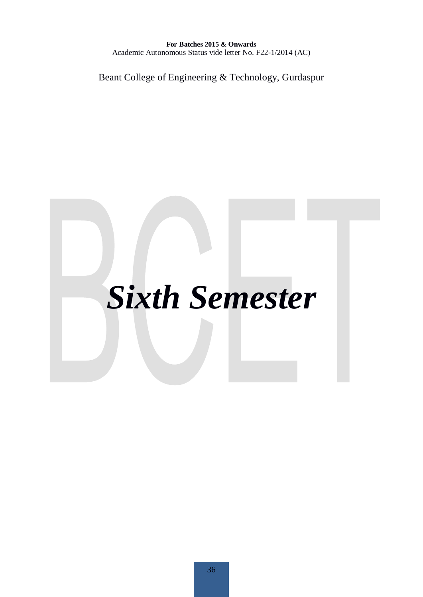Beant College of Engineering & Technology, Gurdaspur

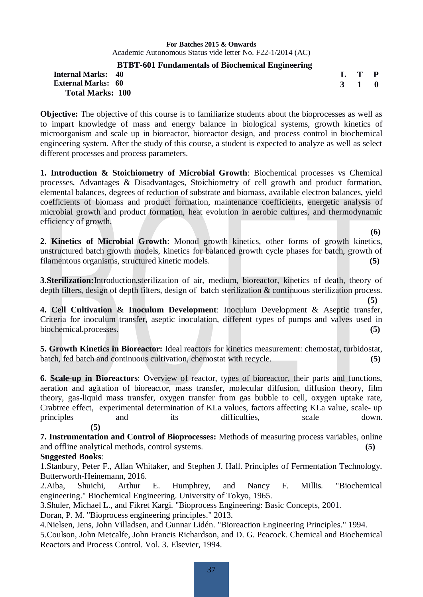#### **BTBT-601 Fundamentals of Biochemical Engineering**

#### **Internal Marks: 40 External Marks: 60 Total Marks: 100**

**Objective:** The objective of this course is to familiarize students about the bioprocesses as well as to impart knowledge of mass and energy balance in biological systems, growth kinetics of microorganism and scale up in bioreactor, bioreactor design, and process control in biochemical engineering system. After the study of this course, a student is expected to analyze as well as select different processes and process parameters.

**1. Introduction & Stoichiometry of Microbial Growth**: Biochemical processes vs Chemical processes, Advantages & Disadvantages, Stoichiometry of cell growth and product formation, elemental balances, degrees of reduction of substrate and biomass, available electron balances, yield coefficients of biomass and product formation, maintenance coefficients, energetic analysis of microbial growth and product formation, heat evolution in aerobic cultures, and thermodynamic efficiency of growth.

**2. Kinetics of Microbial Growth**: Monod growth kinetics, other forms of growth kinetics, unstructured batch growth models, kinetics for balanced growth cycle phases for batch, growth of filamentous organisms, structured kinetic models. **(5)** 

**3.Sterilization:**Introduction,sterilization of air, medium, bioreactor, kinetics of death, theory of depth filters, design of depth filters, design of batch sterilization & continuous sterilization process.

**(5) 4. Cell Cultivation & Inoculum Development**: Inoculum Development & Aseptic transfer, Criteria for inoculum transfer, aseptic inoculation, different types of pumps and valves used in biochemical.processes. **(5)** 

**5. Growth Kinetics in Bioreactor:** Ideal reactors for kinetics measurement: chemostat, turbidostat, batch, fed batch and continuous cultivation, chemostat with recycle. **(5)** 

**6. Scale-up in Bioreactors**: Overview of reactor, types of bioreactor, their parts and functions, aeration and agitation of bioreactor, mass transfer, molecular diffusion, diffusion theory, film theory, gas-liquid mass transfer, oxygen transfer from gas bubble to cell, oxygen uptake rate, Crabtree effect, experimental determination of KLa values, factors affecting KLa value, scale- up principles and its difficulties, scale down. **(5)** 

**7. Instrumentation and Control of Bioprocesses:** Methods of measuring process variables, online and offline analytical methods, control systems. **(5)**

#### **Suggested Books**:

1.Stanbury, Peter F., Allan Whitaker, and Stephen J. Hall. Principles of Fermentation Technology. Butterworth-Heinemann, 2016.

2.Aiba, Shuichi, Arthur E. Humphrey, and Nancy F. Millis. "Biochemical engineering." Biochemical Engineering. University of Tokyo, 1965.

3.Shuler, Michael L., and Fikret Kargi. "Bioprocess Engineering: Basic Concepts, 2001.

Doran, P. M. "Bioprocess engineering principles." 2013.

4.Nielsen, Jens, John Villadsen, and Gunnar Lidén. "Bioreaction Engineering Principles." 1994.

5.Coulson, John Metcalfe, John Francis Richardson, and D. G. Peacock. Chemical and Biochemical Reactors and Process Control. Vol. 3. Elsevier, 1994.

**(6)** 

**L T P 3 1 0**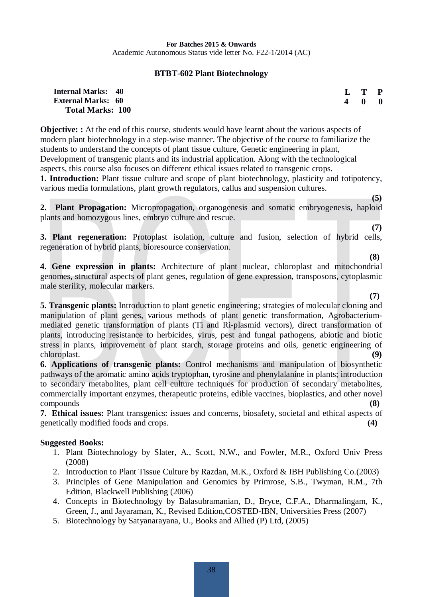#### **BTBT-602 Plant Biotechnology**

#### **Internal Marks: 40 External Marks: 60 Total Marks: 100**

**Objective:** At the end of this course, students would have learnt about the various aspects of modern plant biotechnology in a step-wise manner. The objective of the course to familiarize the students to understand the concepts of plant tissue culture, Genetic engineering in plant, Development of transgenic plants and its industrial application. Along with the technological aspects, this course also focuses on different ethical issues related to transgenic crops.

**1. Introduction:** Plant tissue culture and scope of plant biotechnology, plasticity and totipotency, various media formulations, plant growth regulators, callus and suspension cultures.

**2. Plant Propagation:** Micropropagation, organogenesis and somatic embryogenesis, haploid plants and homozygous lines, embryo culture and rescue.

 **(7) 3. Plant regeneration:** Protoplast isolation, culture and fusion, selection of hybrid cells, regeneration of hybrid plants, bioresource conservation.

 **(8) 4. Gene expression in plants:** Architecture of plant nuclear, chloroplast and mitochondrial genomes, structural aspects of plant genes, regulation of gene expression, transposons, cytoplasmic male sterility, molecular markers.

 **(7) 5. Transgenic plants:** Introduction to plant genetic engineering; strategies of molecular cloning and manipulation of plant genes, various methods of plant genetic transformation, Agrobacteriummediated genetic transformation of plants (Ti and Ri-plasmid vectors), direct transformation of plants, introducing resistance to herbicides, virus, pest and fungal pathogens, abiotic and biotic stress in plants, improvement of plant starch, storage proteins and oils, genetic engineering of chloroplast. **(9)** 

**6. Applications of transgenic plants:** Control mechanisms and manipulation of biosynthetic pathways of the aromatic amino acids tryptophan, tyrosine and phenylalanine in plants; introduction to secondary metabolites, plant cell culture techniques for production of secondary metabolites, commercially important enzymes, therapeutic proteins, edible vaccines, bioplastics, and other novel compounds

**7. Ethical issues:** Plant transgenics: issues and concerns, biosafety, societal and ethical aspects of genetically modified foods and crops. **(4)** 

#### **Suggested Books:**

- 1. Plant Biotechnology by Slater, A., Scott, N.W., and Fowler, M.R., Oxford Univ Press (2008)
- 2. Introduction to Plant Tissue Culture by Razdan, M.K., Oxford & IBH Publishing Co.(2003)
- 3. Principles of Gene Manipulation and Genomics by Primrose, S.B., Twyman, R.M., 7th Edition, Blackwell Publishing (2006)
- 4. Concepts in Biotechnology by Balasubramanian, D., Bryce, C.F.A., Dharmalingam, K., Green, J., and Jayaraman, K., Revised Edition,COSTED-IBN, Universities Press (2007)
- 5. Biotechnology by Satyanarayana, U., Books and Allied (P) Ltd, (2005)

**L T P 4 0 0**

**(5)**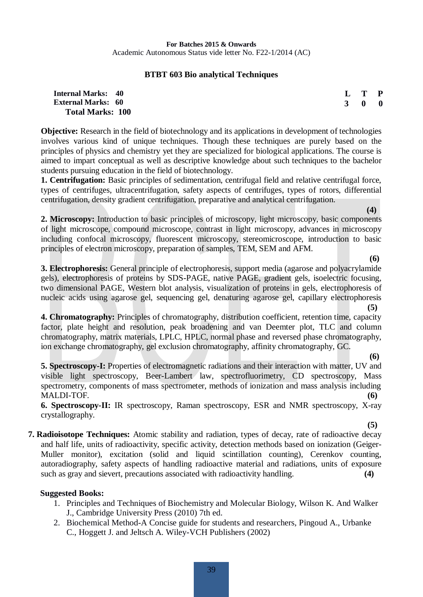39

**For Batches 2015 & Onwards**  Academic Autonomous Status vide letter No. F22-1/2014 (AC)

#### **BTBT 603 Bio analytical Techniques**

#### **Internal Marks: 40 External Marks: 60 Total Marks: 100**

**Objective:** Research in the field of biotechnology and its applications in development of technologies involves various kind of unique techniques. Though these techniques are purely based on the principles of physics and chemistry yet they are specialized for biological applications. The course is aimed to impart conceptual as well as descriptive knowledge about such techniques to the bachelor students pursuing education in the field of biotechnology.

**1. Centrifugation:** Basic principles of sedimentation, centrifugal field and relative centrifugal force, types of centrifuges, ultracentrifugation, safety aspects of centrifuges, types of rotors, differential centrifugation, density gradient centrifugation, preparative and analytical centrifugation.

**2. Microscopy:** Introduction to basic principles of microscopy, light microscopy, basic components of light microscope, compound microscope, contrast in light microscopy, advances in microscopy including confocal microscopy, fluorescent microscopy, stereomicroscope, introduction to basic principles of electron microscopy, preparation of samples, TEM, SEM and AFM.

 **(6) 3. Electrophoresis:** General principle of electrophoresis, support media (agarose and polyacrylamide gels), electrophoresis of proteins by SDS-PAGE, native PAGE, gradient gels, isoelectric focusing, two dimensional PAGE, Western blot analysis, visualization of proteins in gels, electrophoresis of nucleic acids using agarose gel, sequencing gel, denaturing agarose gel, capillary electrophoresis  $(5)$ 

**4. Chromatography:** Principles of chromatography, distribution coefficient, retention time, capacity factor, plate height and resolution, peak broadening and van Deemter plot, TLC and column chromatography, matrix materials, LPLC, HPLC, normal phase and reversed phase chromatography, ion exchange chromatography, gel exclusion chromatography, affinity chromatography, GC.

 **(6) 5. Spectroscopy-I:** Properties of electromagnetic radiations and their interaction with matter, UV and visible light spectroscopy, Beer-Lambert law, spectrofluorimetry, CD spectroscopy, Mass spectrometry, components of mass spectrometer, methods of ionization and mass analysis including MALDI-TOF. **(6)** 

**6. Spectroscopy-II:** IR spectroscopy, Raman spectroscopy, ESR and NMR spectroscopy, X-ray crystallography.

**7. Radioisotope Techniques:** Atomic stability and radiation, types of decay, rate of radioactive decay and half life, units of radioactivity, specific activity, detection methods based on ionization (Geiger-Muller monitor), excitation (solid and liquid scintillation counting), Cerenkov counting, autoradiography, safety aspects of handling radioactive material and radiations, units of exposure such as gray and sievert, precautions associated with radioactivity handling. **(4)** 

#### **Suggested Books:**

- 1. Principles and Techniques of Biochemistry and Molecular Biology, Wilson K. And Walker J., Cambridge University Press (2010) 7th ed.
- 2. Biochemical Method-A Concise guide for students and researchers, Pingoud A., Urbanke C., Hoggett J. and Jeltsch A. Wiley-VCH Publishers (2002)

**(4)** 

**(5)** 

**L T P 3 0 0**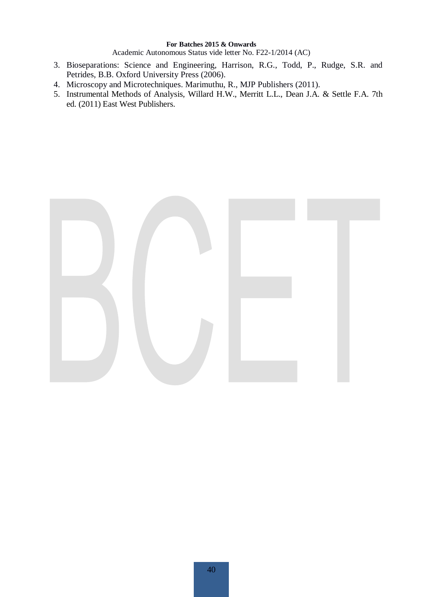Academic Autonomous Status vide letter No. F22-1/2014 (AC)

- 3. Bioseparations: Science and Engineering, Harrison, R.G., Todd, P., Rudge, S.R. and Petrides, B.B. Oxford University Press (2006).
- 4. Microscopy and Microtechniques. Marimuthu, R., MJP Publishers (2011).
- 5. Instrumental Methods of Analysis, Willard H.W., Merritt L.L., Dean J.A. & Settle F.A. 7th ed. (2011) East West Publishers.

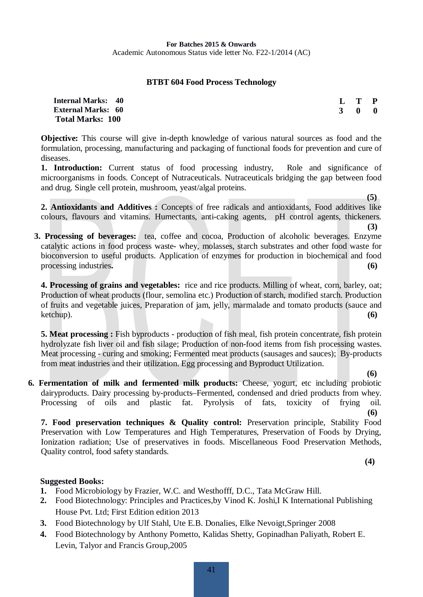#### **BTBT 604 Food Process Technology**

| <b>Internal Marks: 40</b> |     | L T P |                         |
|---------------------------|-----|-------|-------------------------|
| <b>External Marks: 60</b> | 3 O |       | $\overline{\mathbf{0}}$ |
| <b>Total Marks: 100</b>   |     |       |                         |

**Objective:** This course will give in-depth knowledge of various natural sources as food and the formulation, processing, manufacturing and packaging of functional foods for prevention and cure of diseases.

1. Introduction: Current status of food processing industry, Role and significance of microorganisms in foods. Concept of Nutraceuticals. Nutraceuticals bridging the gap between food and drug. Single cell protein, mushroom, yeast/algal proteins.

**2. Antioxidants and Additives :** Concepts of free radicals and antioxidants, Food additives like colours, flavours and vitamins. Humectants, anti-caking agents, pH control agents, thickeners.

 **3. Processing of beverages:** tea, coffee and cocoa, Production of alcoholic beverages. Enzyme catalytic actions in food process waste- whey, molasses, starch substrates and other food waste for bioconversion to useful products. Application of enzymes for production in biochemical and food processing industries. (6)

**4. Processing of grains and vegetables:** rice and rice products. Milling of wheat, corn, barley, oat; Production of wheat products (flour, semolina etc.) Production of starch, modified starch. Production of fruits and vegetable juices, Preparation of jam, jelly, marmalade and tomato products (sauce and ketchup). **(6)**

**5. Meat processing :** Fish byproducts - production of fish meal, fish protein concentrate, fish protein hydrolyzate fish liver oil and fish silage; Production of non-food items from fish processing wastes. Meat processing - curing and smoking; Fermented meat products (sausages and sauces); By-products from meat industries and their utilization. Egg processing and Byproduct Utilization.

 **(6) 6. Fermentation of milk and fermented milk products:** Cheese, yogurt, etc including probiotic dairyproducts. Dairy processing by-products–Fermented, condensed and dried products from whey. Processing of oils and plastic fat. Pyrolysis of fats, toxicity of frying oil. **(6)**

**7. Food preservation techniques & Quality control:** Preservation principle, Stability Food Preservation with Low Temperatures and High Temperatures, Preservation of Foods by Drying, Ionization radiation; Use of preservatives in foods. Miscellaneous Food Preservation Methods, Quality control, food safety standards.

 **(4)** 

 **(5)**

**(3)** 

- **1.** Food Microbiology by Frazier, W.C. and Westhofff, D.C., Tata McGraw Hill.
- **2.** Food Biotechnology: Principles and Practices,by Vinod K. Joshi,I K International Publishing House Pvt. Ltd; First Edition edition 2013
- **3.** Food Biotechnology by Ulf Stahl, Ute E.B. Donalies, Elke Nevoigt,Springer 2008
- **4.** Food Biotechnology by Anthony Pometto, Kalidas Shetty, Gopinadhan Paliyath, Robert E. Levin, Talyor and Francis Group,2005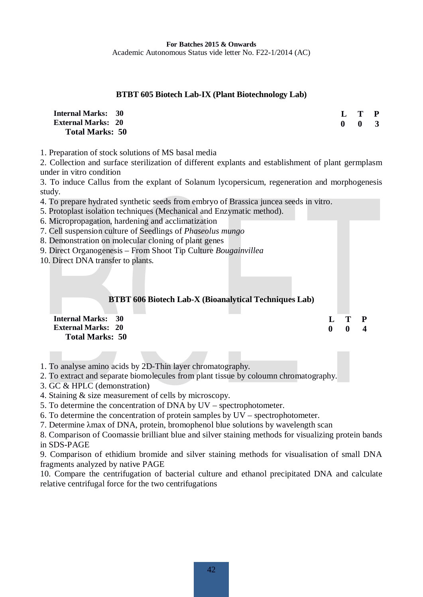#### **BTBT 605 Biotech Lab-IX (Plant Biotechnology Lab)**

| <b>Internal Marks: 30</b> | $L$ T P             |  |
|---------------------------|---------------------|--|
| <b>External Marks: 20</b> | $0 \quad 0 \quad 3$ |  |
| <b>Total Marks: 50</b>    |                     |  |

1. Preparation of stock solutions of MS basal media

2. Collection and surface sterilization of different explants and establishment of plant germplasm under in vitro condition

3. To induce Callus from the explant of Solanum lycopersicum, regeneration and morphogenesis study.

4. To prepare hydrated synthetic seeds from embryo of Brassica juncea seeds in vitro.

5. Protoplast isolation techniques (Mechanical and Enzymatic method).

- 6. Micropropagation, hardening and acclimatization
- 7. Cell suspension culture of Seedlings of *Phaseolus mungo*
- 8. Demonstration on molecular cloning of plant genes
- 9. Direct Organogenesis From Shoot Tip Culture *Bougainvillea*

10. Direct DNA transfer to plants.

#### **BTBT 606 Biotech Lab-X (Bioanalytical Techniques Lab)**

**L T P 0 0 4**

**Internal Marks: 30 External Marks: 20 Total Marks: 50** 

- 1. To analyse amino acids by 2D-Thin layer chromatography.
- 2. To extract and separate biomolecules from plant tissue by coloumn chromatography.
- 3. GC & HPLC (demonstration)
- 4. Staining & size measurement of cells by microscopy.
- 5. To determine the concentration of DNA by UV spectrophotometer.
- 6. To determine the concentration of protein samples by UV spectrophotometer.
- 7. Determine  $\lambda$ max of DNA, protein, bromophenol blue solutions by wavelength scan

8. Comparison of Coomassie brilliant blue and silver staining methods for visualizing protein bands in SDS-PAGE

9. Comparison of ethidium bromide and silver staining methods for visualisation of small DNA fragments analyzed by native PAGE

10. Compare the centrifugation of bacterial culture and ethanol precipitated DNA and calculate relative centrifugal force for the two centrifugations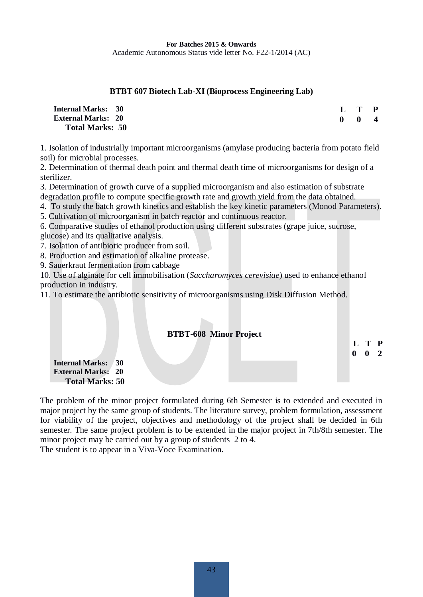#### **BTBT 607 Biotech Lab-XI (Bioprocess Engineering Lab)**

| <b>Internal Marks: 30</b> |              | L T P                   |                         |
|---------------------------|--------------|-------------------------|-------------------------|
| <b>External Marks: 20</b> | $\mathbf{0}$ | $\overline{\mathbf{0}}$ | $\overline{\mathbf{4}}$ |
| <b>Total Marks: 50</b>    |              |                         |                         |

1. Isolation of industrially important microorganisms (amylase producing bacteria from potato field soil) for microbial processes.

2. Determination of thermal death point and thermal death time of microorganisms for design of a sterilizer.

3. Determination of growth curve of a supplied microorganism and also estimation of substrate

- degradation profile to compute specific growth rate and growth yield from the data obtained.
- 4. To study the batch growth kinetics and establish the key kinetic parameters (Monod Parameters).

5. Cultivation of microorganism in batch reactor and continuous reactor.

6. Comparative studies of ethanol production using different substrates (grape juice, sucrose,

glucose) and its qualitative analysis.

- 7. Isolation of antibiotic producer from soil.
- 8. Production and estimation of alkaline protease.
- 9. Sauerkraut fermentation from cabbage

10. Use of alginate for cell immobilisation (*Saccharomyces cerevisiae*) used to enhance ethanol production in industry.

11. To estimate the antibiotic sensitivity of microorganisms using Disk Diffusion Method.

# **BTBT-608 Minor Project L T P 0 0 2 Internal Marks: 30 External Marks: 20 Total Marks: 50**

The problem of the minor project formulated during 6th Semester is to extended and executed in major project by the same group of students. The literature survey, problem formulation, assessment for viability of the project, objectives and methodology of the project shall be decided in 6th semester. The same project problem is to be extended in the major project in 7th/8th semester. The minor project may be carried out by a group of students 2 to 4. The student is to appear in a Viva-Voce Examination.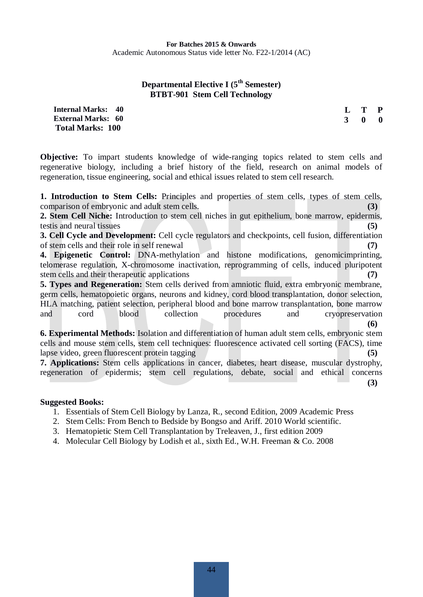#### **Departmental Elective I (5<sup>th</sup> Semester) BTBT-901 Stem Cell Technology**

**Internal Marks: 40 External Marks: 60 Total Marks: 100** 

**L T P 3 0 0**

**Objective:** To impart students knowledge of wide-ranging topics related to stem cells and regenerative biology, including a brief history of the field, research on animal models of regeneration, tissue engineering, social and ethical issues related to stem cell research.

**1. Introduction to Stem Cells:** Principles and properties of stem cells, types of stem cells, comparison of embryonic and adult stem cells. **(3)** 

**2. Stem Cell Niche:** Introduction to stem cell niches in gut epithelium, bone marrow, epidermis, testis and neural tissues **(5)** 

**3. Cell Cycle and Development:** Cell cycle regulators and checkpoints, cell fusion, differentiation of stem cells and their role in self renewal **(7)** 

**4. Epigenetic Control:** DNA-methylation and histone modifications, genomicimprinting, telomerase regulation, X-chromosome inactivation, reprogramming of cells, induced pluripotent stem cells and their therapeutic applications **(7)** 

**5. Types and Regeneration:** Stem cells derived from amniotic fluid, extra embryonic membrane, germ cells, hematopoietic organs, neurons and kidney, cord blood transplantation, donor selection, HLA matching, patient selection, peripheral blood and bone marrow transplantation, bone marrow and cord blood collection procedures and cryopreservation **(6)** 

**6. Experimental Methods:** Isolation and differentiation of human adult stem cells, embryonic stem cells and mouse stem cells, stem cell techniques: fluorescence activated cell sorting (FACS), time lapse video, green fluorescent protein tagging **(5) (5)** 

**7. Applications:** Stem cells applications in cancer, diabetes, heart disease, muscular dystrophy, regeneration of epidermis; stem cell regulations, debate, social and ethical concerns **(3)** 

- 1. Essentials of Stem Cell Biology by Lanza, R., second Edition, 2009 Academic Press
- 2. Stem Cells: From Bench to Bedside by Bongso and Ariff. 2010 World scientific.
- 3. Hematopietic Stem Cell Transplantation by Treleaven, J., first edition 2009
- 4. Molecular Cell Biology by Lodish et al., sixth Ed., W.H. Freeman & Co. 2008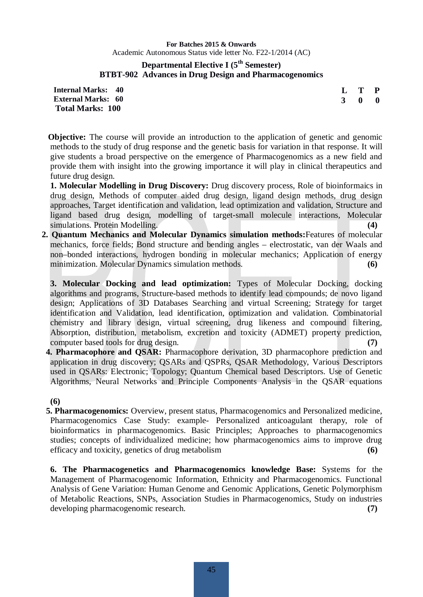#### **Departmental Elective I (5th Semester) BTBT-902 Advances in Drug Design and Pharmacogenomics**

**L T P 3 0 0**

**Internal Marks: 40 External Marks: 60 Total Marks: 100** 

**Objective:** The course will provide an introduction to the application of genetic and genomic methods to the study of drug response and the genetic basis for variation in that response. It will give students a broad perspective on the emergence of Pharmacogenomics as a new field and provide them with insight into the growing importance it will play in clinical therapeutics and future drug design.

 **1. Molecular Modelling in Drug Discovery:** Drug discovery process, Role of bioinformaics in drug design, Methods of computer aided drug design, ligand design methods, drug design approaches, Target identification and validation, lead optimization and validation, Structure and ligand based drug design, modelling of target-small molecule interactions, Molecular simulations. Protein Modelling. **(4) (4)** 

 **2. Quantum Mechanics and Molecular Dynamics simulation methods:**Features of molecular mechanics, force fields; Bond structure and bending angles – electrostatic, van der Waals and non–bonded interactions, hydrogen bonding in molecular mechanics; Application of energy minimization. Molecular Dynamics simulation methods. **(6)**

**3. Molecular Docking and lead optimization:** Types of Molecular Docking, docking algorithms and programs, Structure-based methods to identify lead compounds; de novo ligand design; Applications of 3D Databases Searching and virtual Screening; Strategy for target identification and Validation, lead identification, optimization and validation. Combinatorial chemistry and library design, virtual screening, drug likeness and compound filtering, Absorption, distribution, metabolism, excretion and toxicity (ADMET) property prediction, computer based tools for drug design. **(7) (7) (8) (8) (8) (8) (8) (8) (8) (8) (8) (8) (8) (8) (8) (8) (8) (8) (8) (8) (8) (8) (8) (8) (8) (8) (8) (8) (8) (8) (8)** 

 **4. Pharmacophore and QSAR:** Pharmacophore derivation, 3D pharmacophore prediction and application in drug discovery; QSARs and QSPRs, QSAR Methodology, Various Descriptors used in QSARs: Electronic; Topology; Quantum Chemical based Descriptors. Use of Genetic Algorithms, Neural Networks and Principle Components Analysis in the QSAR equations

**(6)** 

 **5. Pharmacogenomics:** Overview, present status, Pharmacogenomics and Personalized medicine, Pharmacogenomics Case Study: example- Personalized anticoagulant therapy, role of bioinformatics in pharmacogenomics. Basic Principles; Approaches to pharmacogenomics studies; concepts of individualized medicine; how pharmacogenomics aims to improve drug efficacy and toxicity, genetics of drug metabolism **(6)** 

**6. The Pharmacogenetics and Pharmacogenomics knowledge Base:** Systems for the Management of Pharmacogenomic Information, Ethnicity and Pharmacogenomics. Functional Analysis of Gene Variation: Human Genome and Genomic Applications, Genetic Polymorphism of Metabolic Reactions, SNPs, Association Studies in Pharmacogenomics, Study on industries developing pharmacogenomic research. **(7)**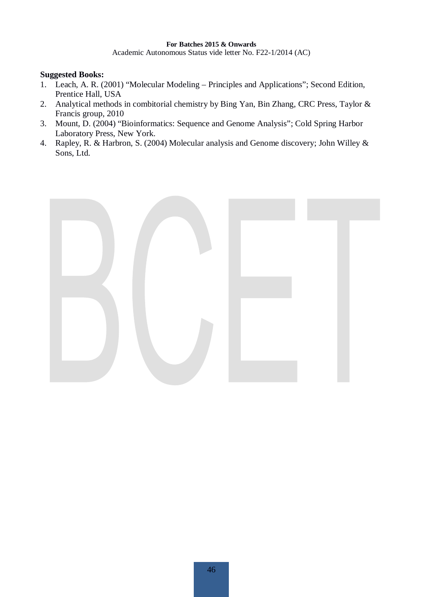Academic Autonomous Status vide letter No. F22-1/2014 (AC)

- 1. Leach, A. R. (2001) "Molecular Modeling Principles and Applications"; Second Edition, Prentice Hall, USA
- 2. Analytical methods in combitorial chemistry by Bing Yan, Bin Zhang, CRC Press, Taylor & Francis group, 2010
- 3. Mount, D. (2004) "Bioinformatics: Sequence and Genome Analysis"; Cold Spring Harbor Laboratory Press, New York.
- 4. Rapley, R. & Harbron, S. (2004) Molecular analysis and Genome discovery; John Willey & Sons, Ltd.

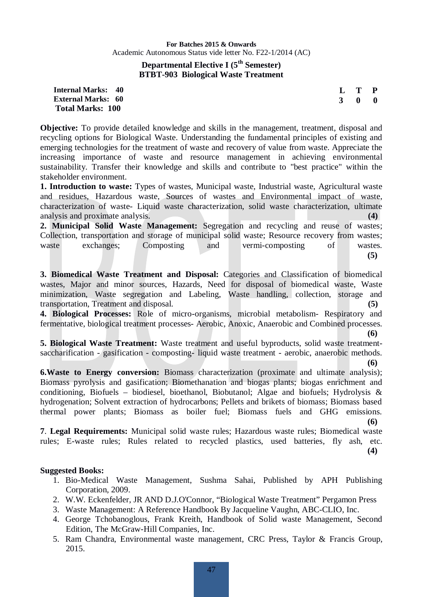#### **Departmental Elective I (5th Semester) BTBT-903 Biological Waste Treatment**

#### **Internal Marks: 40 External Marks: 60 Total Marks: 100**

**Objective:** To provide detailed knowledge and skills in the management, treatment, disposal and recycling options for Biological Waste. Understanding the fundamental principles of existing and emerging technologies for the treatment of waste and recovery of value from waste. Appreciate the increasing importance of waste and resource management in achieving environmental sustainability. Transfer their knowledge and skills and contribute to "best practice" within the stakeholder environment.

**1. Introduction to waste:** Types of wastes, Municipal waste, Industrial waste, Agricultural waste and residues, Hazardous waste, Sources of wastes and Environmental impact of waste, characterization of waste- Liquid waste characterization, solid waste characterization, ultimate analysis and proximate analysis. **(4)**

**2. Municipal Solid Waste Management:** Segregation and recycling and reuse of wastes; Collection, transportation and storage of municipal solid waste; Resource recovery from wastes; waste exchanges; Composting and vermi-composting of wastes. **(5)**

**3. Biomedical Waste Treatment and Disposal:** Categories and Classification of biomedical wastes, Major and minor sources, Hazards, Need for disposal of biomedical waste, Waste minimization, Waste segregation and Labeling, Waste handling, collection, storage and transportation, Treatment and disposal. **(5)** 

**4. Biological Processes:** Role of micro-organisms, microbial metabolism- Respiratory and fermentative, biological treatment processes- Aerobic, Anoxic, Anaerobic and Combined processes.

**(6)** 

**L T P 3 0 0**

**5. Biological Waste Treatment:** Waste treatment and useful byproducts, solid waste treatmentsaccharification - gasification - composting- liquid waste treatment - aerobic, anaerobic methods. **(6)** 

**6.Waste to Energy conversion:** Biomass characterization (proximate and ultimate analysis); Biomass pyrolysis and gasification; Biomethanation and biogas plants; biogas enrichment and conditioning, Biofuels – biodiesel, bioethanol, Biobutanol; Algae and biofuels; Hydrolysis & hydrogenation; Solvent extraction of hydrocarbons; Pellets and brikets of biomass; Biomass based thermal power plants; Biomass as boiler fuel; Biomass fuels and GHG emissions.

**7**. **Legal Requirements:** Municipal solid waste rules; Hazardous waste rules; Biomedical waste rules; E-waste rules; Rules related to recycled plastics, used batteries, fly ash, etc.

**(4)**

**(6)**

- 1. Bio-Medical Waste Management, Sushma Sahai, Published by APH Publishing Corporation, 2009.
- 2. W.W. Eckenfelder, JR AND D.J.O'Connor, "Biological Waste Treatment" Pergamon Press
- 3. Waste Management: A Reference Handbook By Jacqueline Vaughn, ABC-CLIO, Inc.
- 4. George Tchobanoglous, Frank Kreith, Handbook of Solid waste Management, Second Edition, The McGraw-Hill Companies, Inc.
- 5. Ram Chandra, Environmental waste management, CRC Press, Taylor & Francis Group, 2015.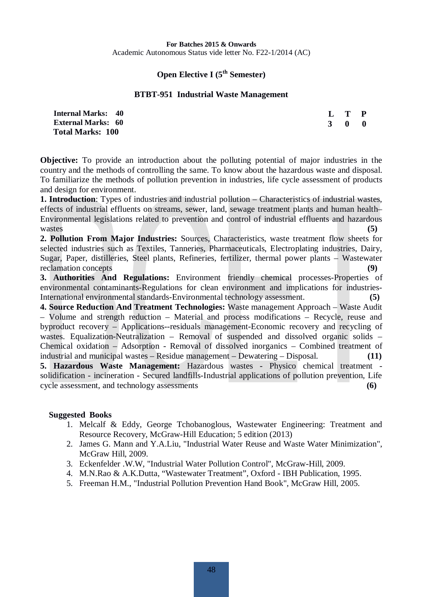#### **Open Elective I (5<sup>th</sup> Semester)**

#### **BTBT-951 Industrial Waste Management**

| <b>Internal Marks: 40</b> |             | L T P |                         |
|---------------------------|-------------|-------|-------------------------|
| <b>External Marks: 60</b> | $3 \quad 0$ |       | $\overline{\mathbf{0}}$ |
| <b>Total Marks: 100</b>   |             |       |                         |

**Objective:** To provide an introduction about the polluting potential of major industries in the country and the methods of controlling the same. To know about the hazardous waste and disposal. To familiarize the methods of pollution prevention in industries, life cycle assessment of products and design for environment.

**1. Introduction**: Types of industries and industrial pollution – Characteristics of industrial wastes, effects of industrial effluents on streams, sewer, land, sewage treatment plants and human health– Environmental legislations related to prevention and control of industrial effluents and hazardous wastes (5)

**2. Pollution From Major Industries:** Sources, Characteristics, waste treatment flow sheets for selected industries such as Textiles, Tanneries, Pharmaceuticals, Electroplating industries, Dairy, Sugar, Paper, distilleries, Steel plants, Refineries, fertilizer, thermal power plants – Wastewater reclamation concepts **(9)** 

**3. Authorities And Regulations:** Environment friendly chemical processes-Properties of environmental contaminants-Regulations for clean environment and implications for industries-International environmental standards-Environmental technology assessment. **(5)**

**4. Source Reduction And Treatment Technologies:** Waste management Approach – Waste Audit – Volume and strength reduction – Material and process modifications – Recycle, reuse and byproduct recovery – Applications--residuals management-Economic recovery and recycling of wastes. Equalization-Neutralization – Removal of suspended and dissolved organic solids – Chemical oxidation – Adsorption - Removal of dissolved inorganics – Combined treatment of industrial and municipal wastes – Residue management – Dewatering – Disposal. **(11)**

**5. Hazardous Waste Management:** Hazardous wastes - Physico chemical treatment solidification - incineration - Secured landfills-Industrial applications of pollution prevention, Life cycle assessment, and technology assessments **(6)**

- 1. Melcalf & Eddy, George Tchobanoglous, Wastewater Engineering: Treatment and Resource Recovery, McGraw-Hill Education; 5 edition (2013)
- 2. James G. Mann and Y.A.Liu, "Industrial Water Reuse and Waste Water Minimization", McGraw Hill, 2009.
- 3. Eckenfelder .W.W, "Industrial Water Pollution Control", McGraw-Hill, 2009.
- 4. M.N.Rao & A.K.Dutta, "Wastewater Treatment", Oxford IBH Publication, 1995.
- 5. Freeman H.M., "Industrial Pollution Prevention Hand Book", McGraw Hill, 2005.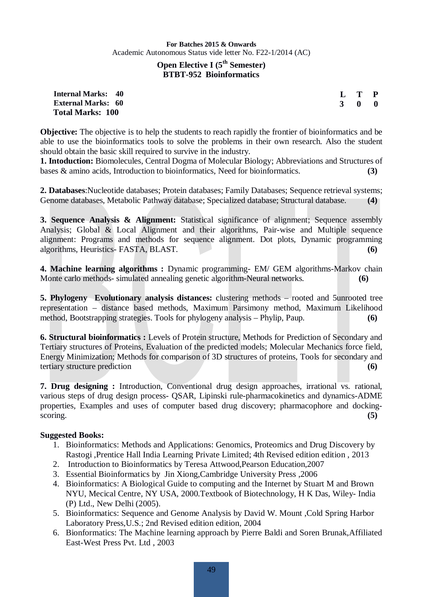#### **Open Elective I** (5<sup>th</sup> Semester) **BTBT-952 Bioinformatics**

| <b>Internal Marks: 40</b> |  |
|---------------------------|--|
| <b>External Marks: 60</b> |  |
| <b>Total Marks: 100</b>   |  |

**L T P 3 0 0**

**Objective:** The objective is to help the students to reach rapidly the frontier of bioinformatics and be able to use the bioinformatics tools to solve the problems in their own research. Also the student should obtain the basic skill required to survive in the industry.

**1. Intoduction:** Biomolecules, Central Dogma of Molecular Biology; Abbreviations and Structures of bases & amino acids, Introduction to bioinformatics, Need for bioinformatics. **(3)** 

**2. Databases**:Nucleotide databases; Protein databases; Family Databases; Sequence retrieval systems; Genome databases, Metabolic Pathway database; Specialized database; Structural database. **(4)** 

**3. Sequence Analysis & Alignment:** Statistical significance of alignment; Sequence assembly Analysis; Global & Local Alignment and their algorithms, Pair-wise and Multiple sequence alignment: Programs and methods for sequence alignment. Dot plots, Dynamic programming algorithms, Heuristics- FASTA, BLAST. **(6)**

**4. Machine learning algorithms :** Dynamic programming- EM/ GEM algorithms-Markov chain Monte carlo methods- simulated annealing genetic algorithm-Neural networks. **(6)**

**5. Phylogeny Evolutionary analysis distances:** clustering methods – rooted and 5unrooted tree representation – distance based methods, Maximum Parsimony method, Maximum Likelihood method, Bootstrapping strategies. Tools for phylogeny analysis – Phylip, Paup. **(6)**

**6. Structural bioinformatics :** Levels of Protein structure, Methods for Prediction of Secondary and Tertiary structures of Proteins, Evaluation of the predicted models; Molecular Mechanics force field, Energy Minimization; Methods for comparison of 3D structures of proteins, Tools for secondary and tertiary structure prediction **(6) (6)** 

**7. Drug designing :** Introduction, Conventional drug design approaches, irrational vs. rational, various steps of drug design process- QSAR, Lipinski rule-pharmacokinetics and dynamics-ADME properties, Examples and uses of computer based drug discovery; pharmacophore and dockingscoring. **(5) (5)** 

- 1. Bioinformatics: Methods and Applications: Genomics, Proteomics and Drug Discovery by Rastogi ,Prentice Hall India Learning Private Limited; 4th Revised edition edition , 2013
- 2. Introduction to Bioinformatics by Teresa Attwood,Pearson Education,2007
- 3. Essential Bioinformatics by Jin Xiong,Cambridge University Press ,2006
- 4. Bioinformatics: A Biological Guide to computing and the Internet by Stuart M and Brown NYU, Mecical Centre, NY USA, 2000.Textbook of Biotechnology, H K Das, Wiley- India (P) Ltd., New Delhi (2005).
- 5. Bioinformatics: Sequence and Genome Analysis by David W. Mount ,Cold Spring Harbor Laboratory Press,U.S.; 2nd Revised edition edition, 2004
- 6. Bionformatics: The Machine learning approach by Pierre Baldi and Soren Brunak,Affiliated East-West Press Pvt. Ltd , 2003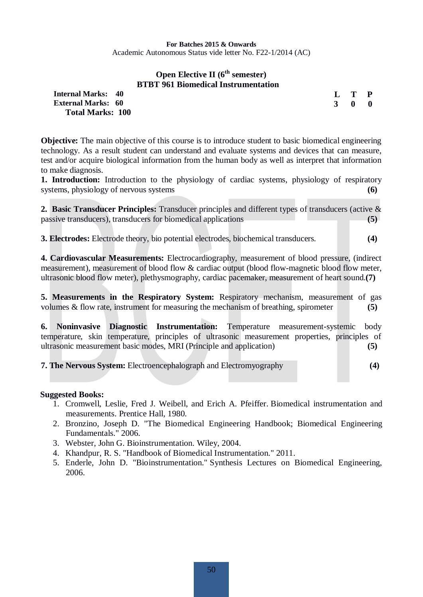#### **Open Elective II** ( $6<sup>th</sup>$  semester) **BTBT 961 Biomedical Instrumentation**

**L T P**

| <b>Internal Marks: 40</b> | L T P               |  |
|---------------------------|---------------------|--|
| <b>External Marks: 60</b> | $3 \quad 0 \quad 0$ |  |
| <b>Total Marks: 100</b>   |                     |  |

**Objective:** The main objective of this course is to introduce student to basic biomedical engineering technology. As a result student can understand and evaluate systems and devices that can measure, test and/or acquire biological information from the human body as well as interpret that information to make diagnosis.

1. Introduction: Introduction to the physiology of cardiac systems, physiology of respiratory systems, physiology of nervous systems **(6)**

**2. Basic Transducer Principles:** Transducer principles and different types of transducers (active & passive transducers), transducers for biomedical applications **(5)** 

**3. Electrodes:** Electrode theory, bio potential electrodes, biochemical transducers. **(4)**

**4. Cardiovascular Measurements:** Electrocardiography, measurement of blood pressure, (indirect measurement), measurement of blood flow & cardiac output (blood flow-magnetic blood flow meter, ultrasonic blood flow meter), plethysmography, cardiac pacemaker, measurement of heart sound.**(7)** 

**5. Measurements in the Respiratory System:** Respiratory mechanism, measurement of gas volumes & flow rate, instrument for measuring the mechanism of breathing, spirometer **(5)** 

**6. Noninvasive Diagnostic Instrumentation:** Temperature measurement-systemic body temperature, skin temperature, principles of ultrasonic measurement properties, principles of ultrasonic measurement basic modes, MRI (Principle and application) **(5)**

**7. The Nervous System:** Electroencephalograph and Electromyography **(4)** 

- 1. Cromwell, Leslie, Fred J. Weibell, and Erich A. Pfeiffer. Biomedical instrumentation and measurements. Prentice Hall, 1980.
- 2. Bronzino, Joseph D. "The Biomedical Engineering Handbook; Biomedical Engineering Fundamentals." 2006.
- 3. Webster, John G. Bioinstrumentation. Wiley, 2004.
- 4. Khandpur, R. S. "Handbook of Biomedical Instrumentation." 2011.
- 5. Enderle, John D. "Bioinstrumentation." Synthesis Lectures on Biomedical Engineering, 2006.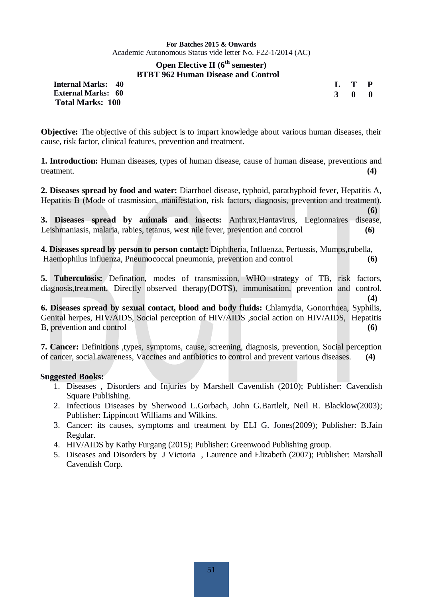#### **Open Elective II** ( $6<sup>th</sup>$  semester) **BTBT 962 Human Disease and Control**

| <b>Internal Marks: 40</b> |  |
|---------------------------|--|
| <b>External Marks: 60</b> |  |
| <b>Total Marks: 100</b>   |  |

| L            | T           | P |
|--------------|-------------|---|
| $\mathbf{R}$ | $\mathbf 0$ | 0 |

**(6)** 

**(4)** 

**Objective:** The objective of this subject is to impart knowledge about various human diseases, their cause, risk factor, clinical features, prevention and treatment.

**1. Introduction:** Human diseases, types of human disease, cause of human disease, preventions and treatment. **(4)** 

**2. Diseases spread by food and water:** Diarrhoel disease, typhoid, parathyphoid fever, Hepatitis A, Hepatitis B (Mode of trasmission, manifestation, risk factors, diagnosis, prevention and treatment).

**3. Diseases spread by animals and insects:** Anthrax,Hantavirus, Legionnaires disease, Leishmaniasis, malaria, rabies, tetanus, west nile fever, prevention and control **(6)** 

**4. Diseases spread by person to person contact:** Diphtheria, Influenza, Pertussis, Mumps,rubella, Haemophilus influenza, Pneumococcal pneumonia, prevention and control **(6)**

**5. Tuberculosis:** Defination, modes of transmission, WHO strategy of TB, risk factors, diagnosis,treatment, Directly observed therapy(DOTS), immunisation, prevention and control.

**6. Diseases spread by sexual contact, blood and body fluids:** Chlamydia, Gonorrhoea, Syphilis, Genital herpes, HIV/AIDS, Social perception of HIV/AIDS ,social action on HIV/AIDS, Hepatitis B, prevention and control (6)

**7. Cancer:** Definitions ,types, symptoms, cause, screening, diagnosis, prevention, Social perception of cancer, social awareness, Vaccines and antibiotics to control and prevent various diseases. **(4)** 

- 1. Diseases , Disorders and Injuries by Marshell Cavendish (2010); Publisher: Cavendish Square Publishing.
- 2. Infectious Diseases by Sherwood L.Gorbach, John G.Bartlelt, Neil R. Blacklow(2003); Publisher: Lippincott Williams and Wilkins.
- 3. Cancer: its causes, symptoms and treatment by ELI G. Jones(2009); Publisher: B.Jain Regular.
- 4. HIV/AIDS by Kathy Furgang (2015); Publisher: Greenwood Publishing group.
- 5. Diseases and Disorders by J Victoria , Laurence and Elizabeth (2007); Publisher: Marshall Cavendish Corp.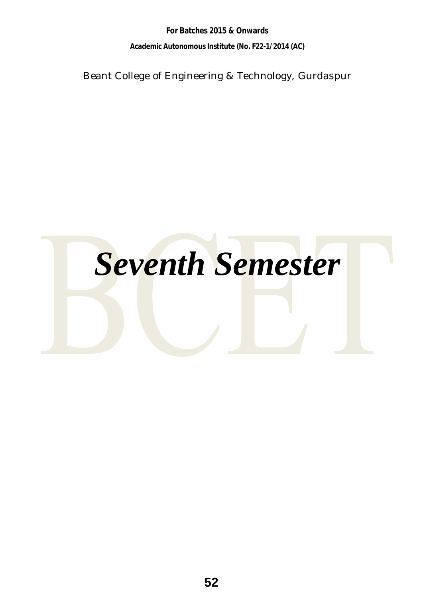**For Batches 2015 & Onwards Academic Autonomous Institute (No. F22-1/2014 (AC)** 

Beant College of Engineering & Technology, Gurdaspur

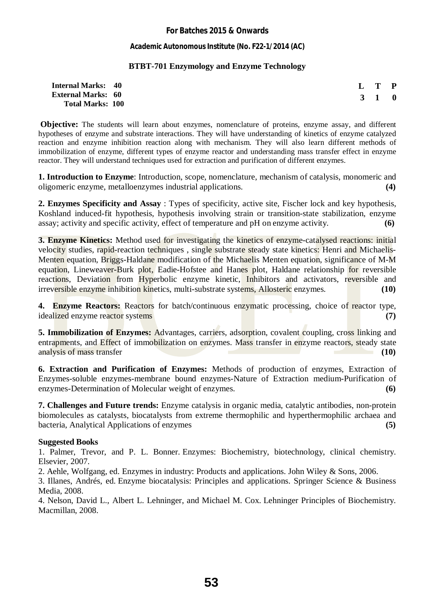#### **Academic Autonomous Institute (No. F22-1/2014 (AC)**

#### **BTBT-701 Enzymology and Enzyme Technology**

| <b>Internal Marks: 40</b> |  | L T P |  |
|---------------------------|--|-------|--|
| <b>External Marks: 60</b> |  | 3 1 0 |  |
| <b>Total Marks: 100</b>   |  |       |  |

**Objective:** The students will learn about enzymes, nomenclature of proteins, enzyme assay, and different hypotheses of enzyme and substrate interactions. They will have understanding of kinetics of enzyme catalyzed reaction and enzyme inhibition reaction along with mechanism. They will also learn different methods of immobilization of enzyme, different types of enzyme reactor and understanding mass transfer effect in enzyme reactor. They will understand techniques used for extraction and purification of different enzymes.

**1. Introduction to Enzyme**: Introduction, scope, nomenclature, mechanism of catalysis, monomeric and oligomeric enzyme, metalloenzymes industrial applications. **(4)** 

**2. Enzymes Specificity and Assay** : Types of specificity, active site, Fischer lock and key hypothesis, Koshland induced-fit hypothesis, hypothesis involving strain or transition-state stabilization, enzyme assay; activity and specific activity, effect of temperature and pH on enzyme activity. **(6)** 

**3. Enzyme Kinetics:** Method used for investigating the kinetics of enzyme-catalysed reactions: initial velocity studies, rapid-reaction techniques , single substrate steady state kinetics: Henri and Michaelis-Menten equation, Briggs-Haldane modification of the Michaelis Menten equation, significance of M-M equation, Lineweaver-Burk plot, Eadie-Hofstee and Hanes plot, Haldane relationship for reversible reactions, Deviation from Hyperbolic enzyme kinetic, Inhibitors and activators, reversible and irreversible enzyme inhibition kinetics, multi-substrate systems, Allosteric enzymes. **(10)** 

**4. Enzyme Reactors:** Reactors for batch/continuous enzymatic processing, choice of reactor type, idealized enzyme reactor systems **(7) (7) (8) (8) (8) (8) (8) (8) (8) (7) (8) (8) (7) (8) (8) (8) (8) (8) (8) (8) (8) (8) (8) (8) (8) (8) (8) (8) (8) (8) (8) (8** 

**5. Immobilization of Enzymes:** Advantages, carriers, adsorption, covalent coupling, cross linking and entrapments, and Effect of immobilization on enzymes. Mass transfer in enzyme reactors, steady state analysis of mass transfer **(10) (10)** 

**6. Extraction and Purification of Enzymes:** Methods of production of enzymes, Extraction of Enzymes-soluble enzymes-membrane bound enzymes-Nature of Extraction medium-Purification of enzymes-Determination of Molecular weight of enzymes. **(6)** 

**7. Challenges and Future trends:** Enzyme catalysis in organic media, catalytic antibodies, non-protein biomolecules as catalysts, biocatalysts from extreme thermophilic and hyperthermophilic archaea and bacteria, Analytical Applications of enzymes **(5)**

#### **Suggested Books**

1. Palmer, Trevor, and P. L. Bonner. Enzymes: Biochemistry, biotechnology, clinical chemistry. Elsevier, 2007.

2. Aehle, Wolfgang, ed. Enzymes in industry: Products and applications. John Wiley & Sons, 2006.

3. Illanes, Andrés, ed. Enzyme biocatalysis: Principles and applications. Springer Science & Business Media, 2008.

4. Nelson, David L., Albert L. Lehninger, and Michael M. Cox. Lehninger Principles of Biochemistry. Macmillan, 2008.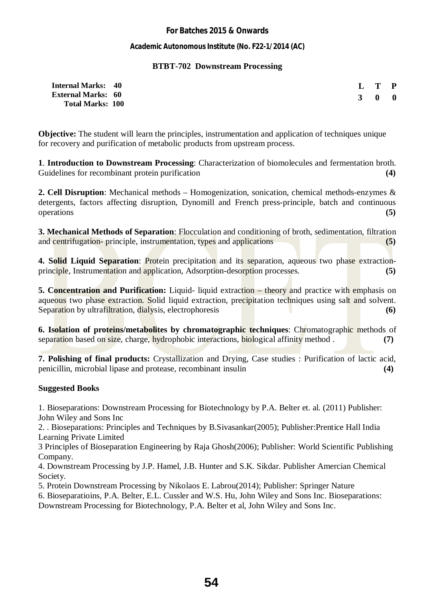#### **Academic Autonomous Institute (No. F22-1/2014 (AC)**

#### **BTBT-702 Downstream Processing**

| <b>Internal Marks: 40</b> |  | L T P               |  |
|---------------------------|--|---------------------|--|
| <b>External Marks: 60</b> |  | $3 \quad 0 \quad 0$ |  |
| <b>Total Marks: 100</b>   |  |                     |  |

**Objective:** The student will learn the principles, instrumentation and application of techniques unique for recovery and purification of metabolic products from upstream process.

**1**. **Introduction to Downstream Processing**: Characterization of biomolecules and fermentation broth. Guidelines for recombinant protein purification **(4) (4) (4) (4) (4) (4) (4) (4) (4) (4) (4) (4) (4) (4) (4) (4) (4) (4) (4) (4) (4) (4) (4) (4) (4) (4) (4) (4) (4)**

**2. Cell Disruption**: Mechanical methods – Homogenization, sonication, chemical methods-enzymes & detergents, factors affecting disruption, Dynomill and French press-principle, batch and continuous operations **(5)**

**3. Mechanical Methods of Separation**: Flocculation and conditioning of broth, sedimentation, filtration and centrifugation- principle, instrumentation, types and applications **(5)**

**4. Solid Liquid Separation**: Protein precipitation and its separation, aqueous two phase extractionprinciple, Instrumentation and application, Adsorption-desorption processes. **(5)**

**5. Concentration and Purification:** Liquid- liquid extraction – theory and practice with emphasis on aqueous two phase extraction. Solid liquid extraction, precipitation techniques using salt and solvent. Separation by ultrafiltration, dialysis, electrophoresis **(6)** (6)

**6. Isolation of proteins/metabolites by chromatographic techniques**: Chromatographic methods of separation based on size, charge, hydrophobic interactions, biological affinity method . **(7)**

**7. Polishing of final products:** Crystallization and Drying, Case studies : Purification of lactic acid, penicillin, microbial lipase and protease, recombinant insulin **(4)** 

#### **Suggested Books**

1. Bioseparations: Downstream Processing for Biotechnology by P.A. Belter et. al. (2011) Publisher: John Wiley and Sons Inc

2. . Bioseparations: Principles and Techniques by B.Sivasankar(2005); Publisher:Prentice Hall India Learning Private Limited

3 Principles of Bioseparation Engineering by Raja Ghosh(2006); Publisher: World Scientific Publishing Company.

4. Downstream Processing by J.P. Hamel, J.B. Hunter and S.K. Sikdar. Publisher Amercian Chemical Society.

5. Protein Downstream Processing by Nikolaos E. Labrou(2014); Publisher: Springer Nature

6. Bioseparatioins, P.A. Belter, E.L. Cussler and W.S. Hu, John Wiley and Sons Inc. Bioseparations: Downstream Processing for Biotechnology, P.A. Belter et al, John Wiley and Sons Inc.

**54**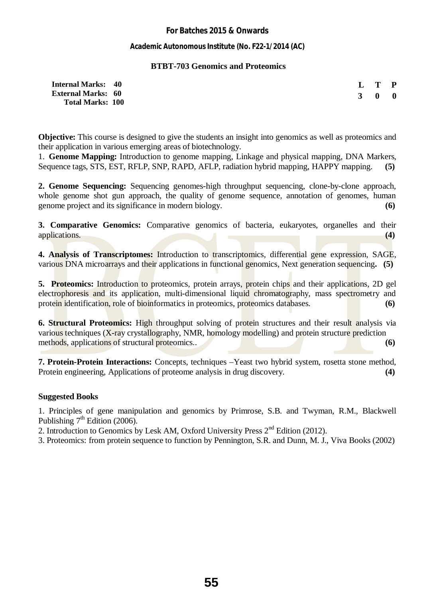#### **Academic Autonomous Institute (No. F22-1/2014 (AC)**

#### **BTBT-703 Genomics and Proteomics**

| <b>Internal Marks: 40</b> | L T P |  |
|---------------------------|-------|--|
| <b>External Marks: 60</b> | 3 0 0 |  |
| <b>Total Marks: 100</b>   |       |  |

**Objective:** This course is designed to give the students an insight into genomics as well as proteomics and their application in various emerging areas of biotechnology.

1. **Genome Mapping:** Introduction to genome mapping, Linkage and physical mapping, DNA Markers, Sequence tags, STS, EST, RFLP, SNP, RAPD, AFLP, radiation hybrid mapping, HAPPY mapping. **(5)**

**2. Genome Sequencing:** Sequencing genomes-high throughput sequencing, clone-by-clone approach, whole genome shot gun approach, the quality of genome sequence, annotation of genomes, human genome project and its significance in modern biology. **(6)** 

**3. Comparative Genomics:** Comparative genomics of bacteria, eukaryotes, organelles and their applications. **(4)** 

**4. Analysis of Transcriptomes:** Introduction to transcriptomics, differential gene expression, SAGE, various DNA microarrays and their applications in functional genomics, Next generation sequencing**. (5)**

**5. Proteomics:** Introduction to proteomics, protein arrays, protein chips and their applications, 2D gel electrophoresis and its application, multi-dimensional liquid chromatography, mass spectrometry and protein identification, role of bioinformatics in proteomics, proteomics databases. **(6) (6)** 

**6. Structural Proteomics:** High throughput solving of protein structures and their result analysis via various techniques (X-ray crystallography, NMR, homology modelling) and protein structure prediction methods, applications of structural proteomics.. (6) **(6)** 

**7. Protein-Protein Interactions:** Concepts, techniques –Yeast two hybrid system, rosetta stone method, Protein engineering, Applications of proteome analysis in drug discovery. **(4)**

#### **Suggested Books**

1. Principles of gene manipulation and genomics by Primrose, S.B. and Twyman, R.M., Blackwell Publishing  $7<sup>th</sup>$  Edition (2006).

2. Introduction to Genomics by Lesk AM, Oxford University Press  $2<sup>nd</sup>$  Edition (2012).

3. Proteomics: from protein sequence to function by Pennington, S.R. and Dunn, M. J., Viva Books (2002)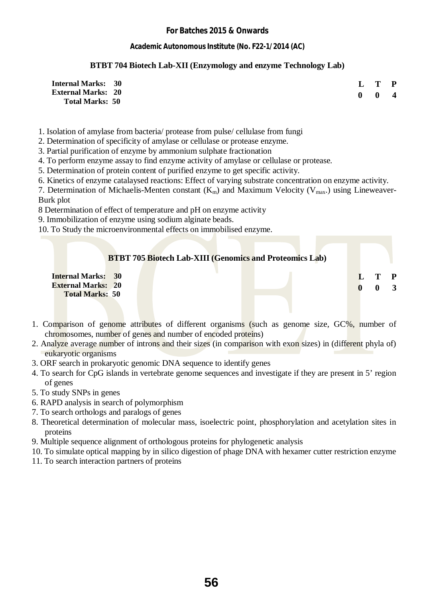#### **Academic Autonomous Institute (No. F22-1/2014 (AC)**

#### **BTBT 704 Biotech Lab-XII (Enzymology and enzyme Technology Lab)**

| <b>Internal Marks: 30</b> |  |                           | L T P |                         |
|---------------------------|--|---------------------------|-------|-------------------------|
| <b>External Marks: 20</b> |  | $\mathbf{0}$ $\mathbf{0}$ |       | $\overline{\mathbf{4}}$ |
| <b>Total Marks: 50</b>    |  |                           |       |                         |

1. Isolation of amylase from bacteria/ protease from pulse/ cellulase from fungi

2. Determination of specificity of amylase or cellulase or protease enzyme.

3. Partial purification of enzyme by ammonium sulphate fractionation

4. To perform enzyme assay to find enzyme activity of amylase or cellulase or protease.

5. Determination of protein content of purified enzyme to get specific activity.

6. Kinetics of enzyme catalaysed reactions: Effect of varying substrate concentration on enzyme activity.

7. Determination of Michaelis-Menten constant  $(K_m)$  and Maximum Velocity ( $V_{max}$ ) using Lineweaver-Burk plot

8 Determination of effect of temperature and pH on enzyme activity

9. Immobilization of enzyme using sodium alginate beads.

10. To Study the microenvironmental effects on immobilised enzyme.

|                                                        |  |  |  | <b>BTBT 705 Biotech Lab-XIII (Genomics and Proteomics Lab)</b> |  |                                                |  |
|--------------------------------------------------------|--|--|--|----------------------------------------------------------------|--|------------------------------------------------|--|
| <b>Internal Marks: 30</b><br><b>External Marks: 20</b> |  |  |  |                                                                |  | $\mathbf{L} \quad \mathbf{T} \quad \mathbf{P}$ |  |
| <b>Total Marks: 50</b>                                 |  |  |  |                                                                |  |                                                |  |

- 1. Comparison of genome attributes of different organisms (such as genome size, GC%, number of chromosomes, number of genes and number of encoded proteins)
- 2. Analyze average number of introns and their sizes (in comparison with exon sizes) in (different phyla of) eukaryotic organisms
- 3. ORF search in prokaryotic genomic DNA sequence to identify genes
- 4. To search for CpG islands in vertebrate genome sequences and investigate if they are present in 5' region of genes
- 5. To study SNPs in genes
- 6. RAPD analysis in search of polymorphism
- 7. To search orthologs and paralogs of genes
- 8. Theoretical determination of molecular mass, isoelectric point, phosphorylation and acetylation sites in proteins
- 9. Multiple sequence alignment of orthologous proteins for phylogenetic analysis
- 10. To simulate optical mapping by in silico digestion of phage DNA with hexamer cutter restriction enzyme
- 11. To search interaction partners of proteins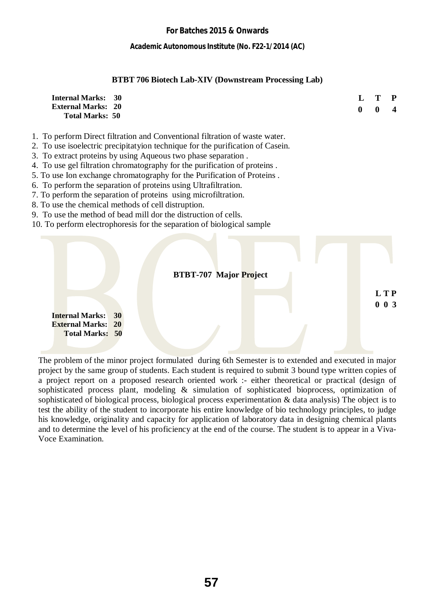**Academic Autonomous Institute (No. F22-1/2014 (AC)** 

#### **BTBT 706 Biotech Lab-XIV (Downstream Processing Lab)**

| <b>Internal Marks: 30</b> |  | L T P        |                          |
|---------------------------|--|--------------|--------------------------|
| <b>External Marks: 20</b> |  | $\mathbf{0}$ | $\overline{\mathcal{A}}$ |
| <b>Total Marks: 50</b>    |  |              |                          |

- 1. To perform Direct filtration and Conventional filtration of waste water.
- 2. To use isoelectric precipitatyion technique for the purification of Casein.
- 3. To extract proteins by using Aqueous two phase separation .
- 4. To use gel filtration chromatography for the purification of proteins .
- 5. To use Ion exchange chromatography for the Purification of Proteins .
- 6. To perform the separation of proteins using Ultrafiltration.
- 7. To perform the separation of proteins using microfiltration.
- 8. To use the chemical methods of cell distruption.
- 9. To use the method of bead mill dor the distruction of cells.
- 10. To perform electrophoresis for the separation of biological sample



The problem of the minor project formulated during 6th Semester is to extended and executed in major project by the same group of students. Each student is required to submit 3 bound type written copies of a project report on a proposed research oriented work :- either theoretical or practical (design of sophisticated process plant, modeling & simulation of sophisticated bioprocess, optimization of sophisticated of biological process, biological process experimentation & data analysis) The object is to test the ability of the student to incorporate his entire knowledge of bio technology principles, to judge his knowledge, originality and capacity for application of laboratory data in designing chemical plants and to determine the level of his proficiency at the end of the course. The student is to appear in a Viva-Voce Examination.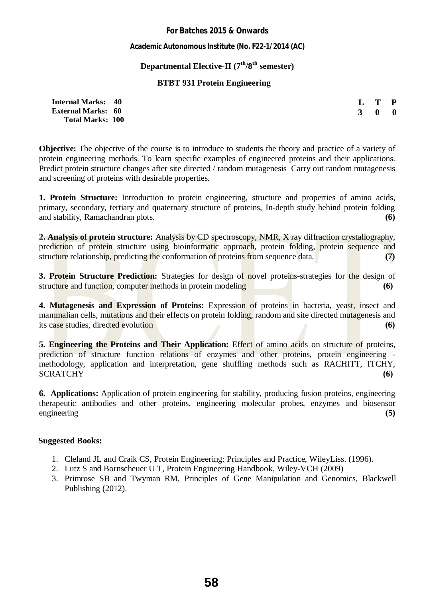**Academic Autonomous Institute (No. F22-1/2014 (AC)** 

#### **Departmental Elective-II (7th/8th semester)**

#### **BTBT 931 Protein Engineering**

| <b>Internal Marks: 40</b> |  | $L$ T P             |  |
|---------------------------|--|---------------------|--|
| <b>External Marks: 60</b> |  | $3 \quad 0 \quad 0$ |  |
| <b>Total Marks: 100</b>   |  |                     |  |

**Objective:** The objective of the course is to introduce to students the theory and practice of a variety of protein engineering methods. To learn specific examples of engineered proteins and their applications. Predict protein structure changes after site directed / random mutagenesis Carry out random mutagenesis and screening of proteins with desirable properties.

**1. Protein Structure:** Introduction to protein engineering, structure and properties of amino acids, primary, secondary, tertiary and quaternary structure of proteins, In-depth study behind protein folding and stability, Ramachandran plots. **(6)**

**2. Analysis of protein structure:** Analysis by CD spectroscopy, NMR, X ray diffraction crystallography, prediction of protein structure using bioinformatic approach, protein folding, protein sequence and structure relationship, predicting the conformation of proteins from sequence data. **(7) (7)** 

**3. Protein Structure Prediction:** Strategies for design of novel proteins-strategies for the design of structure and function, computer methods in protein modeling **(6) (6)** 

**4. Mutagenesis and Expression of Proteins:** Expression of proteins in bacteria, yeast, insect and mammalian cells, mutations and their effects on protein folding, random and site directed mutagenesis and its case studies, directed evolution **(6)**

**5. Engineering the Proteins and Their Application:** Effect of amino acids on structure of proteins, prediction of structure function relations of enzymes and other proteins, protein engineering methodology, application and interpretation, gene shuffling methods such as RACHITT, ITCHY, SCRATCHY (6)

**6. Applications:** Application of protein engineering for stability, producing fusion proteins, engineering therapeutic antibodies and other proteins, engineering molecular probes, enzymes and biosensor engineering **(5)**

- 1. Cleland JL and Craik CS, Protein Engineering: Principles and Practice, WileyLiss. (1996).
- 2. Lutz S and Bornscheuer U T, Protein Engineering Handbook, Wiley-VCH (2009)
- 3. Primrose SB and Twyman RM, Principles of Gene Manipulation and Genomics, Blackwell Publishing (2012).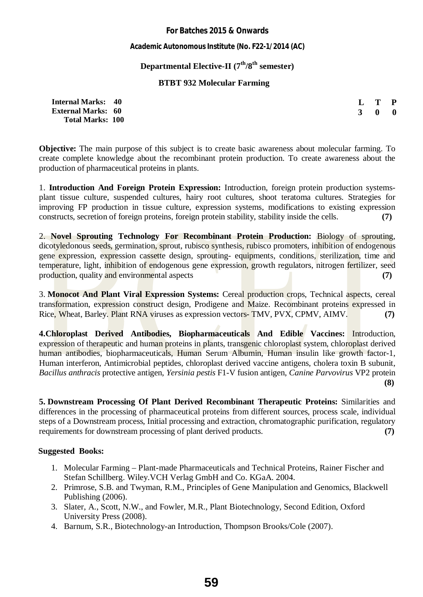**Academic Autonomous Institute (No. F22-1/2014 (AC)** 

### **Departmental Elective-II (7th/8th semester)**

#### **BTBT 932 Molecular Farming**

| <b>Internal Marks:</b>    | 40 |
|---------------------------|----|
| <b>External Marks: 60</b> |    |
| <b>Total Marks: 100</b>   |    |

| L            | T           | P |  |  |
|--------------|-------------|---|--|--|
| $\mathbf{R}$ | $\mathbf 0$ | 0 |  |  |

**Objective:** The main purpose of this subject is to create basic awareness about molecular farming. To create complete knowledge about the recombinant protein production. To create awareness about the production of pharmaceutical proteins in plants.

1. **Introduction And Foreign Protein Expression:** Introduction, foreign protein production systemsplant tissue culture, suspended cultures, hairy root cultures, shoot teratoma cultures. Strategies for improving FP production in tissue culture, expression systems, modifications to existing expression constructs, secretion of foreign proteins, foreign protein stability, stability inside the cells. **(7)**

2. **Novel Sprouting Technology For Recombinant Protein Production:** Biology of sprouting, dicotyledonous seeds, germination, sprout, rubisco synthesis, rubisco promoters, inhibition of endogenous gene expression, expression cassette design, sprouting- equipments, conditions, sterilization, time and temperature, light, inhibition of endogenous gene expression, growth regulators, nitrogen fertilizer, seed production, quality and environmental aspects (7)

3. **Monocot And Plant Viral Expression Systems:** Cereal production crops, Technical aspects, cereal transformation, expression construct design, Prodigene and Maize. Recombinant proteins expressed in Rice, Wheat, Barley. Plant RNA viruses as expression vectors- TMV, PVX, CPMV, AIMV. **(7)**

**4.Chloroplast Derived Antibodies, Biopharmaceuticals And Edible Vaccines:** Introduction, expression of therapeutic and human proteins in plants, transgenic chloroplast system, chloroplast derived human antibodies, biopharmaceuticals, Human Serum Albumin, Human insulin like growth factor-1, Human interferon, Antimicrobial peptides, chloroplast derived vaccine antigens, cholera toxin B subunit, *Bacillus anthracis* protective antigen, *Yersinia pestis* F1-V fusion antigen, *Canine Parvovirus* VP2 protein **(8)** 

**5. Downstream Processing Of Plant Derived Recombinant Therapeutic Proteins:** Similarities and differences in the processing of pharmaceutical proteins from different sources, process scale, individual steps of a Downstream process, Initial processing and extraction, chromatographic purification, regulatory requirements for downstream processing of plant derived products. **(7) (7)** 

- 1. Molecular Farming Plant-made Pharmaceuticals and Technical Proteins, Rainer Fischer and Stefan Schillberg. Wiley.VCH Verlag GmbH and Co. KGaA. 2004.
- 2. Primrose, S.B. and Twyman, R.M., Principles of Gene Manipulation and Genomics, Blackwell Publishing (2006).
- 3. Slater, A., Scott, N.W., and Fowler, M.R., Plant Biotechnology, Second Edition, Oxford University Press (2008).
- 4. Barnum, S.R., Biotechnology-an Introduction, Thompson Brooks/Cole (2007).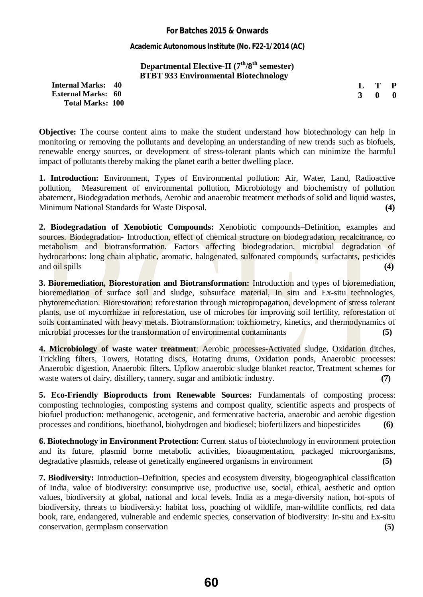**Academic Autonomous Institute (No. F22-1/2014 (AC)** 

### **Departmental Elective-II (7th/8th semester) BTBT 933 Environmental Biotechnology**

**Internal Marks: 40 External Marks: 60 Total Marks: 100** 

**L T P 3 0 0**

**Objective:** The course content aims to make the student understand how biotechnology can help in monitoring or removing the pollutants and developing an understanding of new trends such as biofuels, renewable energy sources, or development of stress-tolerant plants which can minimize the harmful impact of pollutants thereby making the planet earth a better dwelling place.

**1. Introduction:** Environment, Types of Environmental pollution: Air, Water, Land, Radioactive pollution, Measurement of environmental pollution, Microbiology and biochemistry of pollution abatement, Biodegradation methods, Aerobic and anaerobic treatment methods of solid and liquid wastes, Minimum National Standards for Waste Disposal. **(4)** 

**2. Biodegradation of Xenobiotic Compounds:** Xenobiotic compounds–Definition, examples and sources. Biodegradation- Introduction, effect of chemical structure on biodegradation, recalcitrance, co metabolism and biotransformation. Factors affecting biodegradation, microbial degradation of hydrocarbons: long chain aliphatic, aromatic, halogenated, sulfonated compounds, surfactants, pesticides and oil spills **(4) (4) (4) (4) (4) (4) (4) (4) (4) (4) (4) (4) (4) (4) (4) (4) (4) (4) (4) (4) (4) (4) (4) (4) (4) (4) (4) (4) (4) (4) (4) (4) (4) (4) (4** 

**3. Bioremediation, Biorestoration and Biotransformation:** Introduction and types of bioremediation, bioremediation of surface soil and sludge, subsurface material, In situ and Ex-situ technologies, phytoremediation. Biorestoration: reforestation through micropropagation, development of stress tolerant plants, use of mycorrhizae in reforestation, use of microbes for improving soil fertility, reforestation of soils contaminated with heavy metals. Biotransformation: toichiometry, kinetics, and thermodynamics of microbial processes for the transformation of environmental contaminants (5) **(5)** 

**4. Microbiology of waste water treatment**: Aerobic processes-Activated sludge, Oxidation ditches, Trickling filters, Towers, Rotating discs, Rotating drums, Oxidation ponds, Anaerobic processes: Anaerobic digestion, Anaerobic filters, Upflow anaerobic sludge blanket reactor, Treatment schemes for waste waters of dairy, distillery, tannery, sugar and antibiotic industry. **(7)** 

**5. Eco-Friendly Bioproducts from Renewable Sources:** Fundamentals of composting process: composting technologies, composting systems and compost quality, scientific aspects and prospects of biofuel production: methanogenic, acetogenic, and fermentative bacteria, anaerobic and aerobic digestion processes and conditions, bioethanol, biohydrogen and biodiesel; biofertilizers and biopesticides **(6)** 

**6. Biotechnology in Environment Protection:** Current status of biotechnology in environment protection and its future, plasmid borne metabolic activities, bioaugmentation, packaged microorganisms, degradative plasmids, release of genetically engineered organisms in environment **(5)** 

**7. Biodiversity:** Introduction–Definition, species and ecosystem diversity, biogeographical classification of India, value of biodiversity: consumptive use, productive use, social, ethical, aesthetic and option values, biodiversity at global, national and local levels. India as a mega-diversity nation, hot-spots of biodiversity, threats to biodiversity: habitat loss, poaching of wildlife, man-wildlife conflicts, red data book, rare, endangered, vulnerable and endemic species, conservation of biodiversity: In-situ and Ex-situ conservation, germplasm conservation **(5)**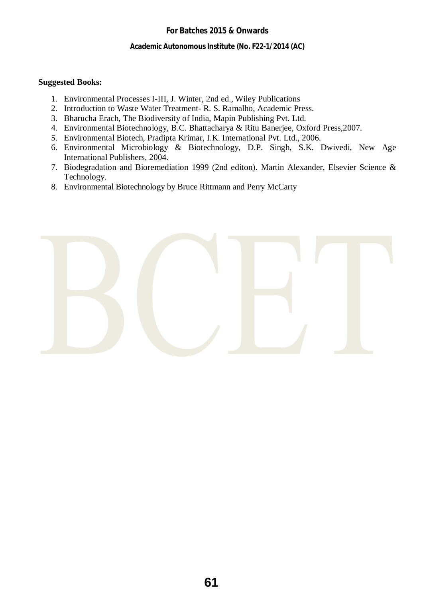**Academic Autonomous Institute (No. F22-1/2014 (AC)** 

- 1. Environmental Processes I-III, J. Winter, 2nd ed., Wiley Publications
- 2. Introduction to Waste Water Treatment- R. S. Ramalho, Academic Press.
- 3. Bharucha Erach, The Biodiversity of India, Mapin Publishing Pvt. Ltd.
- 4. Environmental Biotechnology, B.C. Bhattacharya & Ritu Banerjee, Oxford Press,2007.
- 5. Environmental Biotech, Pradipta Krimar, I.K. International Pvt. Ltd., 2006.
- 6. Environmental Microbiology & Biotechnology, D.P. Singh, S.K. Dwivedi, New Age International Publishers, 2004.
- 7. Biodegradation and Bioremediation 1999 (2nd editon). Martin Alexander, Elsevier Science & Technology.
- 8. Environmental Biotechnology by Bruce Rittmann and Perry McCarty

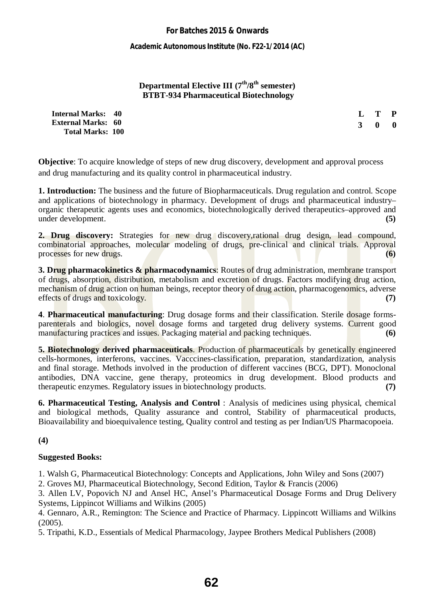**Academic Autonomous Institute (No. F22-1/2014 (AC)** 

#### **Departmental Elective III (7th/8th semester) BTBT-934 Pharmaceutical Biotechnology**

**Internal Marks: 40 External Marks: 60 Total Marks: 100**  **L T P 3 0 0**

**Objective**: To acquire knowledge of steps of new drug discovery, development and approval process and drug manufacturing and its quality control in pharmaceutical industry.

**1. Introduction:** The business and the future of Biopharmaceuticals. Drug regulation and control. Scope and applications of biotechnology in pharmacy. Development of drugs and pharmaceutical industry– organic therapeutic agents uses and economics, biotechnologically derived therapeutics–approved and under development. **(5)** 

**2. Drug discovery:** Strategies for new drug discovery,rational drug design, lead compound, combinatorial approaches, molecular modeling of drugs, pre-clinical and clinical trials. Approval processes for new drugs. **(6) (6) (6) (6) (6) (6) (6) (6) (6) (6) (6) (6) (6) (6) (6) (6) (6) (6) (6) (6) (6) (6) (6) (6) (6) (6) (6) (6) (6) (6) (6) (6) (6)** 

**3. Drug pharmacokinetics & pharmacodynamics**: Routes of drug administration, membrane transport of drugs, absorption, distribution, metabolism and excretion of drugs. Factors modifying drug action, mechanism of drug action on human beings, receptor theory of drug action, pharmacogenomics, adverse effects of drugs and toxicology. **(7) (7)** 

**4**. **Pharmaceutical manufacturing**: Drug dosage forms and their classification. Sterile dosage formsparenterals and biologics, novel dosage forms and targeted drug delivery systems. Current good manufacturing practices and issues. Packaging material and packing techniques. **(6) (6)** 

**5. Biotechnology derived pharmaceuticals**. Production of pharmaceuticals by genetically engineered cells-hormones, interferons, vaccines. Vacccines-classification, preparation, standardization, analysis and final storage. Methods involved in the production of different vaccines (BCG, DPT). Monoclonal antibodies, DNA vaccine, gene therapy, proteomics in drug development. Blood products and therapeutic enzymes. Regulatory issues in biotechnology products. **(7)** 

**6. Pharmaceutical Testing, Analysis and Control** : Analysis of medicines using physical, chemical and biological methods, Quality assurance and control, Stability of pharmaceutical products, Bioavailability and bioequivalence testing, Quality control and testing as per Indian/US Pharmacopoeia.

#### **(4)**

#### **Suggested Books:**

1. Walsh G, Pharmaceutical Biotechnology: Concepts and Applications, John Wiley and Sons (2007)

2. Groves MJ, Pharmaceutical Biotechnology, Second Edition, Taylor & Francis (2006)

3. Allen LV, Popovich NJ and Ansel HC, Ansel's Pharmaceutical Dosage Forms and Drug Delivery Systems, Lippincot Williams and Wilkins (2005)

4. Gennaro, A.R., Remington: The Science and Practice of Pharmacy. Lippincott Williams and Wilkins (2005).

5. Tripathi, K.D., Essentials of Medical Pharmacology, Jaypee Brothers Medical Publishers (2008)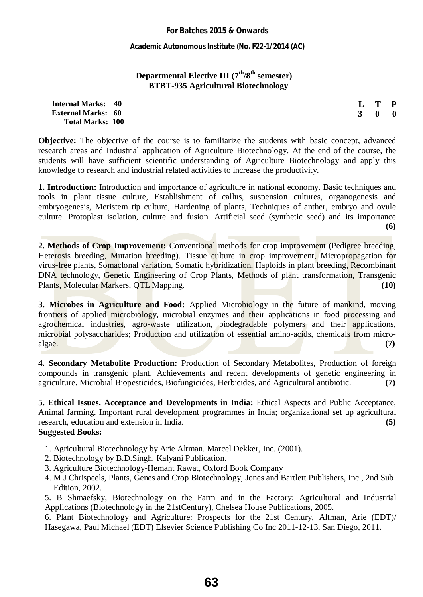**Academic Autonomous Institute (No. F22-1/2014 (AC)** 

#### **Departmental Elective III (7th/8th semester) BTBT-935 Agricultural Biotechnology**

**Internal Marks: 40 External Marks: 60 Total Marks: 100**  **L T P 3 0 0**

**Objective:** The objective of the course is to familiarize the students with basic concept, advanced research areas and Industrial application of Agriculture Biotechnology. At the end of the course, the students will have sufficient scientific understanding of Agriculture Biotechnology and apply this knowledge to research and industrial related activities to increase the productivity.

**1. Introduction:** Introduction and importance of agriculture in national economy. Basic techniques and tools in plant tissue culture, Establishment of callus, suspension cultures, organogenesis and embryogenesis, Meristem tip culture, Hardening of plants, Techniques of anther, embryo and ovule culture. Protoplast isolation, culture and fusion. Artificial seed (synthetic seed) and its importance **(6)** 

**2. Methods of Crop Improvement:** Conventional methods for crop improvement (Pedigree breeding, Heterosis breeding, Mutation breeding). Tissue culture in crop improvement, Micropropagation for virus-free plants, Somaclonal variation, Somatic hybridization, Haploids in plant breeding, Recombinant DNA technology, Genetic Engineering of Crop Plants, Methods of plant transformation, Transgenic Plants, Molecular Markers, QTL Mapping. **(10) (10)** 

**3. Microbes in Agriculture and Food:** Applied Microbiology in the future of mankind, moving frontiers of applied microbiology, microbial enzymes and their applications in food processing and agrochemical industries, agro-waste utilization, biodegradable polymers and their applications, microbial polysaccharides; Production and utilization of essential amino-acids, chemicals from microalgae. **(7)**

**4. Secondary Metabolite Production:** Production of Secondary Metabolites, Production of foreign compounds in transgenic plant, Achievements and recent developments of genetic engineering in agriculture. Microbial Biopesticides, Biofungicides, Herbicides, and Agricultural antibiotic. **(7)**

**5. Ethical Issues, Acceptance and Developments in India:** Ethical Aspects and Public Acceptance, Animal farming. Important rural development programmes in India; organizational set up agricultural research, education and extension in India. **(5) (5)** 

#### **Suggested Books:**

- 1. Agricultural Biotechnology by Arie Altman. Marcel Dekker, Inc. (2001).
- 2. Biotechnology by B.D.Singh, Kalyani Publication.
- 3. Agriculture Biotechnology-Hemant Rawat, Oxford Book Company
- 4. M J Chrispeels, Plants, Genes and Crop Biotechnology, Jones and Bartlett Publishers, Inc., 2nd Sub Edition, 2002.

5. B Shmaefsky, Biotechnology on the Farm and in the Factory: Agricultural and Industrial Applications (Biotechnology in the 21stCentury), Chelsea House Publications, 2005.

6. Plant Biotechnology and Agriculture: Prospects for the 21st Century, Altman, Arie (EDT)/ Hasegawa, Paul Michael (EDT) Elsevier Science Publishing Co Inc 2011-12-13, San Diego, 2011**.**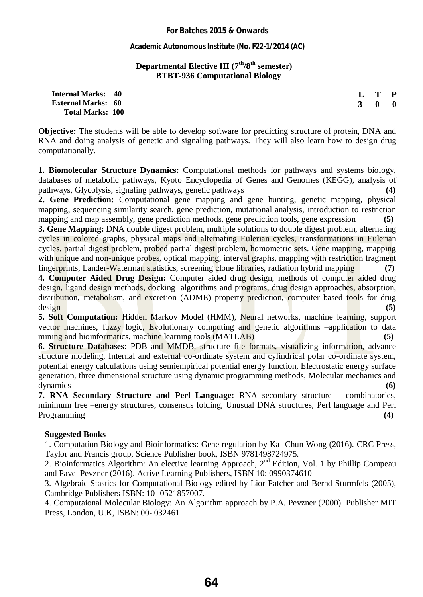**Academic Autonomous Institute (No. F22-1/2014 (AC)** 

#### **Departmental Elective III (7th/8th semester) BTBT-936 Computational Biology**

| <b>Internal Marks:</b>    | 40 |
|---------------------------|----|
| <b>External Marks: 60</b> |    |
| <b>Total Marks: 100</b>   |    |

**Objective:** The students will be able to develop software for predicting structure of protein, DNA and RNA and doing analysis of genetic and signaling pathways. They will also learn how to design drug computationally.

**L T P 3 0 0**

**1. Biomolecular Structure Dynamics:** Computational methods for pathways and systems biology, databases of metabolic pathways, Kyoto Encyclopedia of Genes and Genomes (KEGG), analysis of pathways, Glycolysis, signaling pathways, genetic pathways **(4)** 

**2. Gene Prediction:** Computational gene mapping and gene hunting, genetic mapping, physical mapping, sequencing similarity search, gene prediction, mutational analysis, introduction to restriction mapping and map assembly, gene prediction methods, gene prediction tools, gene expression **(5)**

**3. Gene Mapping:** DNA double digest problem, multiple solutions to double digest problem, alternating cycles in colored graphs, physical maps and alternating Eulerian cycles, transformations in Eulerian cycles, partial digest problem, probed partial digest problem, homometric sets. Gene mapping, mapping with unique and non-unique probes, optical mapping, interval graphs, mapping with restriction fragment fingerprints, Lander-Waterman statistics, screening clone libraries, radiation hybrid mapping **(7)**

**4. Computer Aided Drug Design:** Computer aided drug design, methods of computer aided drug design, ligand design methods, docking algorithms and programs, drug design approaches, absorption, distribution, metabolism, and excretion (ADME) property prediction, computer based tools for drug design **(5)** 

**5. Soft Computation:** Hidden Markov Model (HMM), Neural networks, machine learning, support vector machines, fuzzy logic, Evolutionary computing and genetic algorithms –application to data mining and bioinformatics, machine learning tools (MATLAB) **(5) (5)** 

**6. Structure Databases**: PDB and MMDB, structure file formats, visualizing information, advance structure modeling, Internal and external co-ordinate system and cylindrical polar co-ordinate system, potential energy calculations using semiempirical potential energy function, Electrostatic energy surface generation, three dimensional structure using dynamic programming methods, Molecular mechanics and dynamics **(6)** 

**7. RNA Secondary Structure and Perl Language:** RNA secondary structure – combinatories, minimum free –energy structures, consensus folding, Unusual DNA structures, Perl language and Perl Programming **(4)** 

#### **Suggested Books**

1. Computation Biology and Bioinformatics: Gene regulation by Ka- Chun Wong (2016). CRC Press, Taylor and Francis group, Science Publisher book, ISBN 9781498724975.

2. Bioinformatics Algorithm: An elective learning Approach,  $2<sup>nd</sup>$  Edition, Vol. 1 by Phillip Compeau and Pavel Pevzner (2016). Active Learning Publishers, ISBN 10: 0990374610

3. Algebraic Stastics for Computational Biology edited by Lior Patcher and Bernd Sturmfels (2005), Cambridge Publishers ISBN: 10- 0521857007.

4. Computaional Molecular Biology: An Algorithm approach by P.A. Pevzner (2000). Publisher MIT Press, London, U.K, ISBN: 00- 032461